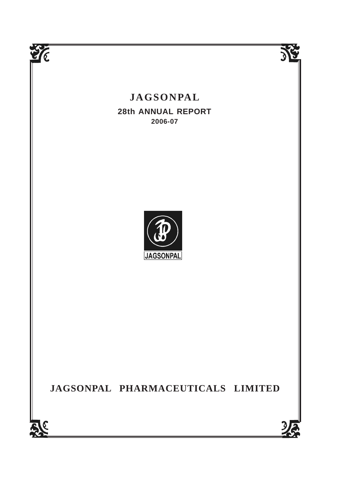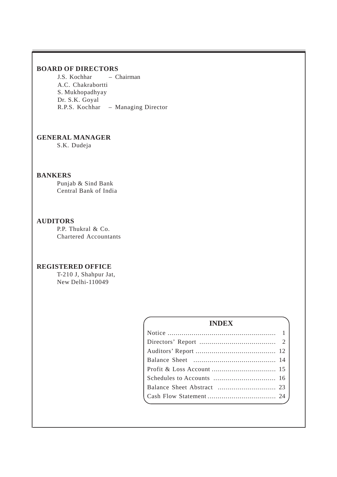# **BOARD OF DIRECTORS**

J.S. Kochhar – Chairman A.C. Chakrabortti S. Mukhopadhyay Dr. S.K. Goyal R.P.S. Kochhar – Managing Director

# **GENERAL MANAGER**

S.K. Dudeja

# **BANKERS**

Punjab & Sind Bank Central Bank of India

# **AUDITORS**

P.P. Thukral & Co. Chartered Accountants

# **REGISTERED OFFICE**

T-210 J, Shahpur Jat, New Delhi-110049

# **INDEX**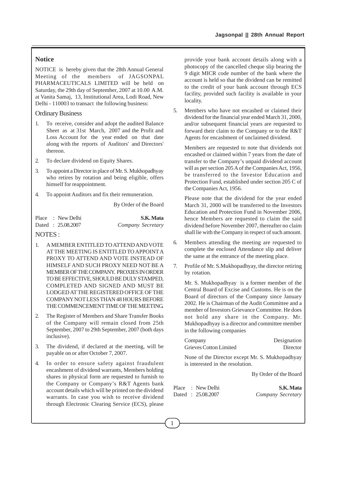# **Notice**

NOTICE is hereby given that the 28th Annual General Meeting of the members of JAGSONPAL PHARMACEUTICALS LIMITED will be held on Saturday, the 29th day of September, 2007 at 10.00 A.M. at Vanita Samaj, 13, Institutional Area, Lodi Road, New Delhi - 110003 to transact the following business:

#### Ordinary Business

- 1. To receive, consider and adopt the audited Balance Sheet as at 31st March, 2007 and the Profit and Loss Account for the year ended on that date along with the reports of Auditors' and Directors' thereon.
- 2. To declare dividend on Equity Shares.
- 3. To appoint a Director in place of Mr. S. Mukhopadhyay who retires by rotation and being eligible, offers himself for reappointment.
- 4. To appoint Auditors and fix their remuneration.

By Order of the Board

|  | Place : New Delhi | S.K. Mata         |
|--|-------------------|-------------------|
|  | Dated: 25.08.2007 | Company Secretary |

# NOTES :

- 1. A MEMBER ENTITLED TO ATTEND AND VOTE AT THE MEETING IS ENTITLED TO APPOINT A PROXY TO ATTEND AND VOTE INSTEAD OF HIMSELF AND SUCH PROXY NEED NOT BE A MEMBER OF THE COMPANY. PROXIES IN ORDER TO BE EFFECTIVE, SHOULD BE DULY STAMPED, COMPLETED AND SIGNED AND MUST BE LODGED AT THE REGISTERED OFFICE OF THE COMPANY NOT LESS THAN 48 HOURS BEFORE THE COMMENCEMENT TIME OF THE MEETING.
- 2. The Register of Members and Share Transfer Books of the Company will remain closed from 25th September, 2007 to 29th September, 2007 (both days inclusive).
- 3. The dividend, if declared at the meeting, will be payable on or after October 7, 2007.
- 4. In order to ensure safety against fraudulent encashment of dividend warrants, Members holding shares in physical form are requested to furnish to the Company or Company's R&T Agents bank account details which will be printed on the dividend warrants. In case you wish to receive dividend through Electronic Clearing Service (ECS), please

provide your bank account details along with a photocopy of the cancelled cheque slip bearing the 9 digit MICR code number of the bank where the account is held so that the dividend can be remitted to the credit of your bank account through ECS facility, provided such facility is available in your locality.

5. Members who have not encashed or claimed their dividend for the financial year ended March 31, 2000, and/or subsequent financial years are requested to forward their claim to the Company or to the R&T Agents for encashment of unclaimed dividend.

Members are requested to note that dividends not encashed or claimed within 7 years from the date of transfer to the Company's unpaid dividend account will as per section 205 A of the Companies Act, 1956, be transferred to the Investor Education and Protection Fund, established under section 205 C of the Companies Act, 1956.

Please note that the dividend for the year ended March 31, 2000 will be transferred to the Investors Education and Protection Fund in November 2006, hence Members are requested to claim the said dividend before November 2007, thereafter no claim shall lie with the Company in respect of such amount.

- 6. Members attending the meeting are requested to complete the enclosed Attendance slip and deliver the same at the entrance of the meeting place.
- 7. Profile of Mr. S.Mukhopadhyay, the director retiring by rotation.

Mr. S. Mukhopadhyay is a former member of the Central Board of Excise and Customs. He is on the Board of directors of the Company since January 2002. He is Chairman of the Audit Committee and a member of Investors Grievance Committee. He does not hold any share in the Company. Mr. Mukhopadhyay is a director and committee member in the following companies

|  | Company<br><b>Grieves Cotton Limited</b> |                                  | Designation<br>Director                         |
|--|------------------------------------------|----------------------------------|-------------------------------------------------|
|  |                                          | is interested in the resolution. | None of the Director except Mr. S. Mukhopadhyay |
|  |                                          |                                  | By Order of the Board                           |
|  | Place : New Delhi<br>Dated: 25.08.2007   |                                  | S.K. Mata<br>Company Secretary                  |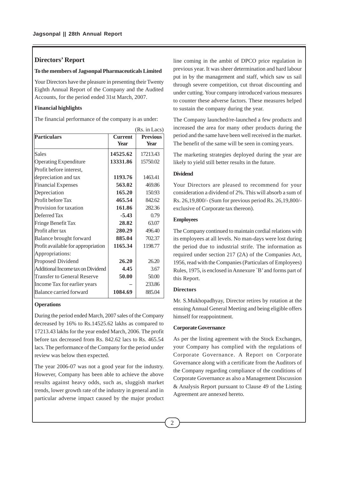# **Directors' Report**

#### **To the members of Jagsonpal Pharmaceuticals Limited**

Your Directors have the pleasure in presenting their Twenty Eighth Annual Report of the Company and the Audited Accounts, for the period ended 31st March, 2007.

## **Financial highlights**

The financial performance of the company is as under:

|                                    |                | (Rs. in Lacs)   |
|------------------------------------|----------------|-----------------|
| <b>Particulars</b>                 | <b>Current</b> | <b>Previous</b> |
|                                    | <b>Year</b>    | <b>Year</b>     |
| <b>Sales</b>                       | 14525.62       | 17213.43        |
| <b>Operating Expenditure</b>       | 13331.86       | 15750.02        |
| Profit before interest,            |                |                 |
| depreciation and tax               | 1193.76        | 1463.41         |
| <b>Financial Expenses</b>          | 563.02         | 469.86          |
| Depreciation                       | 165.20         | 150.93          |
| Profit before Tax                  | 465.54         | 842.62          |
| Provision for taxation             | 161.86         | 282.36          |
| Deferred Tax                       | $-5.43$        | 0.79            |
| Fringe Benefit Tax                 | 28.82          | 63.07           |
| Profit after tax                   | 280.29         | 496.40          |
| Balance brought forward            | 885.04         | 702.37          |
| Profit available for appropriation | 1165.34        | 1198.77         |
| Appropriations:                    |                |                 |
| Proposed Dividend                  | 26.20          | 26.20           |
| Additional Income tax on Dividend  | 4.45           | 3.67            |
| <b>Transfer to General Reserve</b> | 50.00          | 50.00           |
| Income Tax for earlier years       |                | 233.86          |
| <b>Balance carried forward</b>     | 1084.69        | 885.04          |
|                                    |                |                 |

#### **Operations**

During the period ended March, 2007 sales of the Company decreased by 16% to Rs.14525.62 lakhs as compared to 17213.43 lakhs for the year ended March, 2006. The profit before tax decreased from Rs. 842.62 lacs to Rs. 465.54 lacs. The performance of the Company for the period under review was below then expected.

The year 2006-07 was not a good year for the industry. However, Company has been able to achieve the above results against heavy odds, such as, sluggish market trends, lower growth rate of the industry in general and in particular adverse impact caused by the major product line coming in the ambit of DPCO price regulation in previous year. It was sheer determination and hard labour put in by the management and staff, which saw us sail through severe competition, cut throat discounting and under cutting. Your company introduced various measures to counter these adverse factors. These measures helped to sustain the company during the year.

The Company launched/re-launched a few products and increased the area for many other products during the period and the same have been well received in the market. The benefit of the same will be seen in coming years.

The marketing strategies deployed during the year are likely to yield still better results in the future.

## **Dividend**

Your Directors are pleased to recommend for your consideration a dividend of 2%. This will absorb a sum of Rs. 26,19,800/- (Sum for previous period Rs. 26,19,800/ exclusive of Corporate tax thereon).

## **Employees**

The Company continued to maintain cordial relations with its employees at all levels. No man-days were lost during the period due to industrial strife. The information as required under section 217 (2A) of the Companies Act, 1956, read with the Companies (Particulars of Employees) Rules, 1975, is enclosed in Annexure `B' and forms part of this Report.

#### **Directors**

Mr. S.Mukhopadhyay, Director retires by rotation at the ensuing Annual General Meeting and being eligible offers himself for reappointment.

#### **Corporate Governance**

As per the listing agreement with the Stock Exchanges, your Company has complied with the regulations of Corporate Governance. A Report on Corporate Governance along with a certificate from the Auditors of the Company regarding compliance of the conditions of Corporate Governance as also a Management Discussion & Analysis Report pursuant to Clause 49 of the Listing Agreement are annexed hereto.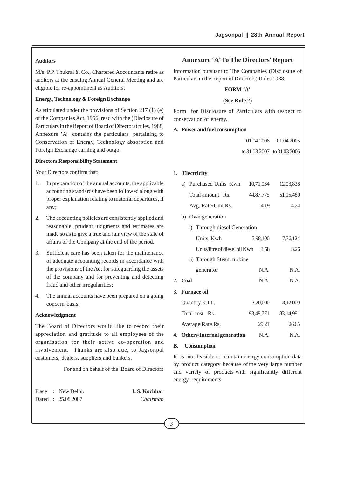# **Auditors**

M/s. P.P. Thukral & Co., Chartered Accountants retire as auditors at the ensuing Annual General Meeting and are eligible for re-appointment as Auditors.

# **Energy, Technology & Foreign Exchange**

As stipulated under the provisions of Section 217 (1) (e) of the Companies Act, 1956, read with the (Disclosure of Particulars in the Report of Board of Directors) rules, 1988, Annexure 'A' contains the particulars pertaining to Conservation of Energy, Technology absorption and Foreign Exchange earning and outgo.

#### **Directors Responsibility Statement**

Your Directors confirm that:

- 1. In preparation of the annual accounts, the applicable accounting standards have been followed along with proper explanation relating to material departures, if any;
- 2. The accounting policies are consistently applied and reasonable, prudent judgments and estimates are made so as to give a true and fair view of the state of affairs of the Company at the end of the period.
- 3. Sufficient care has been taken for the maintenance of adequate accounting records in accordance with the provisions of the Act for safeguarding the assets of the company and for preventing and detecting fraud and other irregularities;
- 4. The annual accounts have been prepared on a going concern basis.

#### **Acknowledgment**

The Board of Directors would like to record their appreciation and gratitude to all employees of the organisation for their active co-operation and involvement. Thanks are also due, to Jagsonpal customers, dealers, suppliers and bankers.

For and on behalf of the Board of Directors

| r iace | <b>INEW LJEILL</b> |
|--------|--------------------|
| Dated  | 25.08.2007         |

Place : New Delhi. **J. S. Kochhar** Dated : 25.08.2007 *Chairman*

# **Annexure 'A' To The Directors' Report**

Information pursuant to The Companies (Disclosure of Particulars in the Report of Directors) Rules 1988.

## **FORM 'A'**

#### **(See Rule 2)**

Form for Disclosure of Particulars with respect to conservation of energy.

#### **A. Power and fuel consumption**

|                             | 01.04.2006 01.04.2005 |
|-----------------------------|-----------------------|
| to 31,03,2007 to 31,03,2006 |                       |

#### **1. Electricity**

|    |         | a) Purchased Units Kwh        | 10,71,034 | 12,03,838   |
|----|---------|-------------------------------|-----------|-------------|
|    |         | Total amount Rs.              | 44,87,775 | 51,15,489   |
|    |         | Avg. Rate/Unit Rs.            | 4.19      | 4.24        |
|    |         | b) Own generation             |           |             |
|    |         | i) Through diesel Generation  |           |             |
|    |         | Units Kwh                     | 5,98,100  | 7,36,124    |
|    |         | Units/litre of diesel oil Kwh | 3.58      | 3.26        |
|    |         | ii) Through Steam turbine     |           |             |
|    |         | generator                     | N.A.      | N.A.        |
|    | 2. Coal |                               | N.A.      | N.A.        |
|    |         | 3. Furnace oil                |           |             |
|    |         | Quantity K.Ltr.               | 3,20,000  | 3,12,000    |
|    |         | Total cost Rs.                | 93,48,771 | 83, 14, 991 |
|    |         | Average Rate Rs.              | 29.21     | 26.65       |
|    |         | 4. Others/Internal generation | N.A.      | N.A.        |
| В. |         | Consumption                   |           |             |

It is not feasible to maintain energy consumption data by product category because of the very large number and variety of products with significantly different energy requirements.

3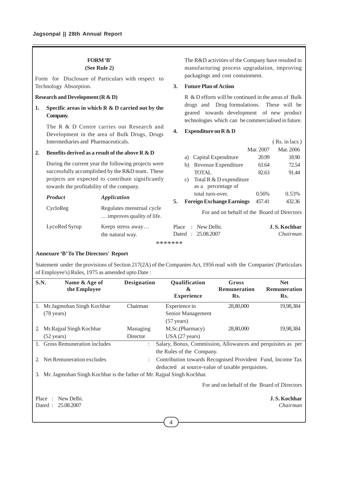# **FORM 'B'**

**(See Rule 2)**

Form for Disclosure of Particulars with respect to Technology Absorption.

## **Research and Development (R & D)**

**1. Specific areas in which R & D carried out by the Company.**

The R & D Centre carries out Research and Development in the area of Bulk Drugs, Drugs Intermediaries and Pharmaceuticals.

#### **2. Benefits derived as a result of the above R & D**

During the current year the following projects were successfully accomplished by the R&D team. These projects are expected to contribute significantly towards the profitability of the company.

| <b>Product</b> | <b>Application</b>                                     |
|----------------|--------------------------------------------------------|
| CycloReg       | Regulates menstrual cycle<br>improves quality of life. |
| LycoRed Syrup  | Keeps stress away<br>the natural way.                  |

The R&D activities of the Company have resulted in manufacturing process upgradation, improving packagings and cost containment.

### **3. Future Plan of Action**

R & D efforts will be continued in the areas of Bulk drugs and Drug formulations. These will be geared towards development of new product technologies which can be commercialised in future.

## **4. Expenditure on R & D**

|    |                 |                                  |           | (Rs. in lacs) |
|----|-----------------|----------------------------------|-----------|---------------|
|    |                 |                                  | Mar. 2007 | Mar. 2006     |
|    |                 | a) Capital Expenditure           | 20.99     | 18.90         |
|    | b)              | Revenue Expenditure              | 61.64     | 72.54         |
|    |                 | TOTAL.                           | 82.63     | 91.44         |
|    | $\mathcal{C}$ ) | Total R & D expenditure          |           |               |
|    |                 | as a percentage of               |           |               |
|    |                 | total turn-over.                 | 0.56%     | 0.53%         |
| 5. |                 | <b>Foreign Exchange Earnings</b> | 457.41    | 432.36        |
|    |                 |                                  |           |               |

For and on behalf of the Board of Directors

|  | Place : New Delhi. | J.S. Kochhar |
|--|--------------------|--------------|
|  | Dated: 25.08.2007  | Chairman     |

\*\*\*\*\*\*\*

## **Annexure 'B' To The Directors' Report**

Statement under the provisions of Section 217(2A) of the Companies Act, 1956 read with the Companies' (Particulars of Employee's) Rules, 1975 as amended upto Date :

| <b>S.N.</b>           | Name & Age of<br>the Employee                                         | <b>Designation</b>   | Qualification<br>&                                           | Gross<br>Remuneration | <b>Net</b><br><b>Remuneration</b> |
|-----------------------|-----------------------------------------------------------------------|----------------------|--------------------------------------------------------------|-----------------------|-----------------------------------|
|                       |                                                                       |                      | <b>Experience</b>                                            | Rs.                   | Rs.                               |
| 1.                    | Mr. Jagmohan Singh Kochhar                                            | Chairman             | Experience in                                                | 28,80,000             | 19,98,384                         |
|                       | $(78 \text{ years})$                                                  |                      | Senior Management                                            |                       |                                   |
|                       |                                                                       |                      | $(57 \text{ years})$                                         |                       |                                   |
|                       | Mr. Rajpal Singh Kochhar                                              | Managing             | M.Sc.(Pharmacy)                                              | 28,80,000             | 19,98,384                         |
|                       | $(52 \text{ years})$                                                  | Director             | USA (27 years)                                               |                       |                                   |
|                       | Gross Remuneration includes                                           | $\ddot{\phantom{a}}$ | Salary, Bonus, Commission, Allowances and perquisites as per |                       |                                   |
|                       |                                                                       |                      | the Rules of the Company.                                    |                       |                                   |
|                       | Net Remuneration excludes                                             |                      | Contribution towards Recognised Provident Fund, Income Tax   |                       |                                   |
|                       |                                                                       |                      | deducted at source-value of taxable perquisites.             |                       |                                   |
| 3.                    | Mr. Jagmohan Singh Kochhar is the father of Mr. Rajpal Singh Kochhar. |                      |                                                              |                       |                                   |
|                       | For and on behalf of the Board of Directors                           |                      |                                                              |                       |                                   |
|                       | J.S. Kochhar<br>New Delhi.<br>Place<br>$\cdot$                        |                      |                                                              |                       |                                   |
| 25.08.2007<br>Dated : |                                                                       | Chairman             |                                                              |                       |                                   |
|                       |                                                                       |                      |                                                              |                       |                                   |

4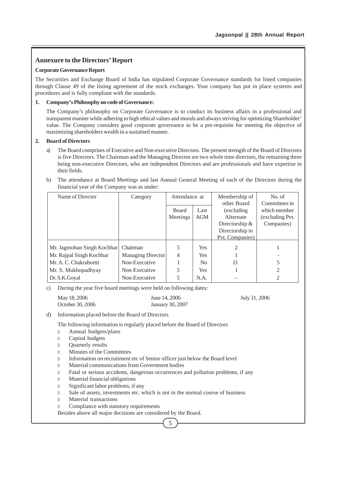## **Annexure to the Directors' Report**

#### **Corporate Governance Report**

The Securities and Exchange Board of India has stipulated Corporate Governance standards for listed companies through Clause 49 of the listing agreement of the stock exchanges. Your company has put in place systems and procedures and is fully compliant with the standards.

## **1. Company's Philosophy on code of Governance:**

The Company's philosophy on Corporate Governance is to conduct its business affairs in a professional and transparent manner while adhering to high ethical values and morals and always striving for optimizing Shareholder' value. The Company considers good corporate governance to be a pre-requisite for meeting the objective of maximizing shareholders wealth in a sustained manner.

## **2. Board of Directors**

- a) The Board comprises of Executive and Non-executive Directors. The present strength of the Board of Directors is five Directors. The Chairman and the Managing Director are two whole time directors, the remaining three being non-executive Directors, who are independent Directors and are professionals and have expertise in their fields.
- b) The attendance at Board Meetings and last Annual General Meeting of each of the Directors during the financial year of the Company was as under:

| Name of Director           | Category          | Attendance at        |                | Membership of<br>other Board |                               |
|----------------------------|-------------------|----------------------|----------------|------------------------------|-------------------------------|
|                            |                   | <b>Board</b><br>Last |                | (excluding)                  | Committees in<br>which member |
|                            |                   | Meetings             | <b>AGM</b>     | Alternate                    | (excluding Pvt.               |
|                            |                   |                      |                | Directorship $&$             | Companies)                    |
|                            |                   |                      |                | Directorship in              |                               |
|                            |                   |                      |                | Pvt. Companies)              |                               |
| Mr. Jagmohan Singh Kochhar | Chairman          | 5                    | <b>Yes</b>     | 2                            |                               |
| Mr. Rajpal Singh Kochhar   | Managing Director | $\overline{4}$       | <b>Yes</b>     |                              |                               |
| Mr. A. C. Chakrabortti     | Non-Executive     |                      | N <sub>0</sub> | 13                           | 5                             |
| Mr. S. Mukhopadhyay        | Non-Executive     | 5                    | <b>Yes</b>     |                              | 2                             |
| Dr. S.K. Goyal             | Non-Executive     | 5                    | N.A.           |                              | 2                             |

c) During the year five board meetings were held on following dates:

| May 18, 2006     | June 14, 2006    | July 31, 2006 |
|------------------|------------------|---------------|
| October 30, 2006 | January 30, 2007 |               |

d) Information placed before the Board of Directors

The following information is regularly placed before the Board of Directors

- <sup>l</sup> Annual budgets/plans
- <sup>l</sup> Capital budgets
- <sup>l</sup> Quarterly results
- <sup>l</sup> Minutes of the Committees
- <sup>l</sup> Information on recruitment etc of Senior officer just below the Board level
- <sup>l</sup> Material communications from Government bodies
- <sup>l</sup> Fatal or serious accidents, dangerous occurrences and pollution problems, if any
- <sup>l</sup> Material financial obligations
- <sup>l</sup> Significant labor problems, if any
- <sup>l</sup> Sale of assets, investments etc. which is not in the normal course of business
- <sup>l</sup> Material transactions
- **Compliance with statutory requirements**

Besides above all major decisions are considered by the Board.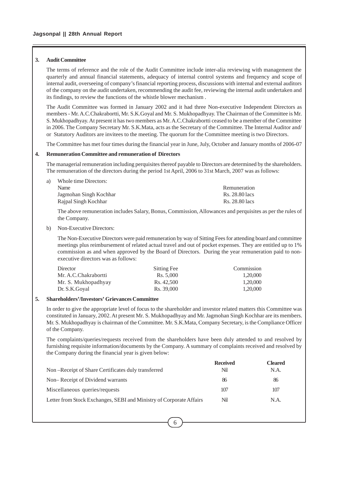#### **3. Audit Committee**

The terms of reference and the role of the Audit Committee include inter-alia reviewing with management the quarterly and annual financial statements, adequacy of internal control systems and frequency and scope of internal audit, overseeing of company's financial reporting process, discussions with internal and external auditors of the company on the audit undertaken, recommending the audit fee, reviewing the internal audit undertaken and its findings, to review the functions of the whistle blower mechanism .

The Audit Committee was formed in January 2002 and it had three Non-executive Independent Directors as members - Mr. A.C.Chakrabortti, Mr. S.K.Goyal and Mr. S. Mukhopadhyay. The Chairman of the Committee is Mr. S. Mukhopadhyay. At present it has two members as Mr. A.C.Chakrabortti ceased to be a member of the Committee in 2006. The Company Secretary Mr. S.K.Mata, acts as the Secretary of the Committee. The Internal Auditor and/ or Statutory Auditors are invitees to the meeting. The quorum for the Committee meeting is two Directors.

The Committee has met four times during the financial year in June, July, October and January months of 2006-07

#### **4. Remuneration Committee and remuneration of Directors**

The managerial remuneration including perquisites thereof payable to Directors are determined by the shareholders. The remuneration of the directors during the period 1st April, 2006 to 31st March, 2007 was as follows:

a) Whole time Directors: Name Remuneration Jagmohan Singh Kochhar Rs. 28.80 lacs Rajpal Singh Kochhar Rs. 28.80 lacs

The above remuneration includes Salary, Bonus, Commission, Allowances and perquisites as per the rules of the Company.

b) Non-Executive Directors:

The Non-Executive Directors were paid remuneration by way of Sitting Fees for attending board and committee meetings plus reimbursement of related actual travel and out of pocket expenses. They are entitled up to 1% commission as and when approved by the Board of Directors. During the year remuneration paid to nonexecutive directors was as follows:

| Director             | Sitting Fee        | Commission |
|----------------------|--------------------|------------|
| Mr. A.C.Chakrabortti | $\text{Rs.} 5.000$ | 1,20,000   |
| Mr. S. Mukhopadhyay  | Rs. 42.500         | 1,20,000   |
| Dr. S.K. Goyal       | Rs. 39,000         | 1,20,000   |

#### **5. Shareholders'/Investors' Grievances Committee**

In order to give the appropriate level of focus to the shareholder and investor related matters this Committee was constituted in January, 2002. At present Mr. S. Mukhopadhyay and Mr. Jagmohan Singh Kochhar are its members. Mr. S. Mukhopadhyay is chairman of the Committee. Mr. S.K.Mata, Company Secretary, is the Compliance Officer of the Company.

The complaints/queries/requests received from the shareholders have been duly attended to and resolved by furnishing requisite information/documents by the Company. A summary of complaints received and resolved by the Company during the financial year is given below:

|                                                                     | <b>Received</b> | Cleared |
|---------------------------------------------------------------------|-----------------|---------|
| Non-Receipt of Share Certificates duly transferred                  | Nil             | N.A.    |
| Non–Receipt of Dividend warrants                                    | 86              | 86      |
| Miscellaneous queries/requests                                      | 107             | 107     |
| Letter from Stock Exchanges, SEBI and Ministry of Corporate Affairs | Nil             | N.A.    |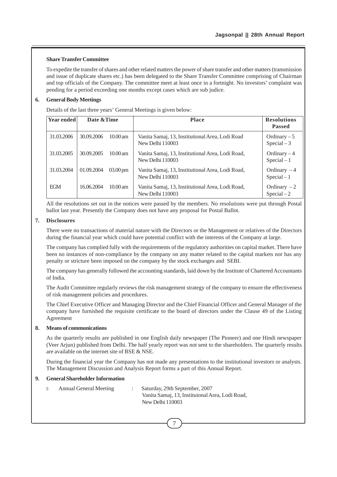#### **Share Transfer Committee**

To expedite the transfer of shares and other related matters the power of share transfer and other matters (transmission and issue of duplicate shares etc.) has been delegated to the Share Transfer Committee comprising of Chairman and top officials of the Company. The committee meet at least once in a fortnight. No investors' complaint was pending for a period exceeding one months except cases which are sub judice.

### **6. General Body Meetings**

Details of the last three years' General Meetings is given below:

| <b>Year ended</b> | Date & Time |                       | <b>Place</b>                                                         | <b>Resolutions</b><br><b>Passed</b> |
|-------------------|-------------|-----------------------|----------------------------------------------------------------------|-------------------------------------|
| 31.03.2006        | 30.09.2006  | $10.00$ am            | Vanita Samaj, 13, Institutional Area, Lodi Road<br>New Delhi 110003  | Ordinary $-5$<br>$Special-3$        |
| 31.03.2005        | 30.09.2005  | $10.00$ am            | Vanita Samaj, 13, Institutional Area, Lodi Road,<br>New Delhi 110003 | Ordinary $-4$<br>$Special-1$        |
| 31.03.2004        | 01.09.2004  | $03.00 \,\mathrm{pm}$ | Vanita Samaj, 13, Institutional Area, Lodi Road,<br>New Delhi 110003 | Ordinary $-4$<br>$Special-1$        |
| <b>EGM</b>        | 16.06.2004  | $10.00$ am            | Vanita Samaj, 13, Institutional Area, Lodi Road,<br>New Delhi 110003 | Ordinary $-2$<br>$Special-2$        |

All the resolutions set out in the notices were passed by the members. No resolutions were put through Postal ballot last year. Presently the Company does not have any proposal for Postal Ballot.

#### **7. Disclosures**

There were no transactions of material nature with the Directors or the Management or relatives of the Directors during the financial year which could have potential conflict with the interests of the Company at large.

The company has complied fully with the requirements of the regulatory authorities on capital market. There have been no instances of non-compliance by the company on any matter related to the capital markets nor has any penalty or stricture been imposed on the company by the stock exchanges and SEBI.

The company has generally followed the accounting standards, laid down by the Institute of Chartered Accountants of India.

The Audit Committee regularly reviews the risk management strategy of the company to ensure the effectiveness of risk management policies and procedures.

The Chief Executive Officer and Managing Director and the Chief Financial Officer and General Manager of the company have furnished the requisite certificate to the board of directors under the Clause 49 of the Listing Agreement

#### **8. Means of communications**

As the quarterly results are published in one English daily newspaper (The Pioneer) and one Hindi newspaper (Veer Arjun) published from Delhi. The half yearly report was not sent to the shareholders. The quarterly results are available on the internet site of BSE & NSE.

During the financial year the Company has not made any presentations to the institutional investors or analysts. The Management Discussion and Analysis Report forms a part of this Annual Report.

## **9. General Shareholder Information**

<sup>l</sup> Annual General Meeting : Saturday, 29th September, 2007 Vanita Samaj, 13, Instituional Area, Lodi Road, New Delhi 110003

7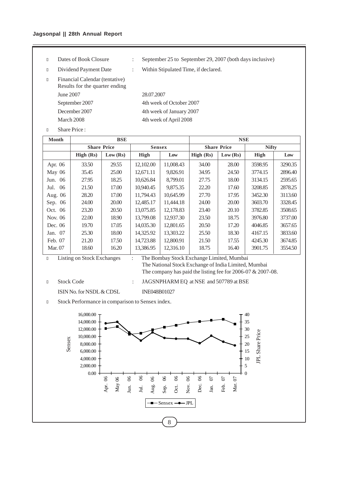# **Jagsonpal || 28th Annual Report**

- 
- 
- <sup>l</sup> Financial Calendar (tentative) Results for the quarter ending June 2007 28.07.2007 September 2007 4th week of October 2007 December 2007 4th week of January 2007

<sup>l</sup> Dates of Book Closure : September 25 to September 29, 2007 (both days inclusive)

<sup>l</sup> Dividend Payment Date : Within Stipulated Time, if declared.

March 2008 4th week of April 2008

<sup>l</sup> Share Price :

| <b>Month</b>   | <b>BSE</b> |                    |               |           | <b>NSE</b> |                    |              |         |
|----------------|------------|--------------------|---------------|-----------|------------|--------------------|--------------|---------|
|                |            | <b>Share Price</b> | <b>Sensex</b> |           |            | <b>Share Price</b> | <b>Nifty</b> |         |
|                | High (Rs)  | Low (Rs)           | High          | Low       | High (Rs)  | Low (Rs)           | High         | Low     |
| Apr. 06        | 33.50      | 29.55              | 12,102.00     | 11,008.43 | 34.00      | 28.00              | 3598.95      | 3290.35 |
| May $06$       | 35.45      | 25.00              | 12,671.11     | 9,826.91  | 34.95      | 24.50              | 3774.15      | 2896.40 |
| Jun. 06        | 27.95      | 18.25              | 10,626.84     | 8,799.01  | 27.75      | 18.00              | 3134.15      | 2595.65 |
| 06<br>Jul.     | 21.50      | 17.00              | 10.940.45     | 9,875.35  | 22.20      | 17.60              | 3208.85      | 2878.25 |
| Aug. 06        | 28.20      | 17.00              | 11,794.43     | 10,645.99 | 27.70      | 17.95              | 3452.30      | 3113.60 |
| Sep. 06        | 24.00      | 20.00              | 12,485.17     | 11,444.18 | 24.00      | 20.00              | 3603.70      | 3328.45 |
| Oct. 06        | 23.20      | 20.50              | 13,075.85     | 12,178.83 | 23.40      | 20.10              | 3782.85      | 3508.65 |
| Nov. 06        | 22.00      | 18.90              | 13.799.08     | 12,937.30 | 23.50      | 18.75              | 3976.80      | 3737.00 |
| Dec. 06        | 19.70      | 17.05              | 14,035.30     | 12,801.65 | 20.50      | 17.20              | 4046.85      | 3657.65 |
| Jan. 07        | 25.30      | 18.00              | 14,325.92     | 13,303.22 | 25.50      | 18.30              | 4167.15      | 3833.60 |
| Feb. 07        | 21.20      | 17.50              | 14,723.88     | 12,800.91 | 21.50      | 17.55              | 4245.30      | 3674.85 |
| <b>Mar.</b> 07 | 18.60      | 16.20              | 13,386.95     | 12.316.10 | 18.75      | 16.40              | 3901.75      | 3554.50 |

# <sup>l</sup> Listing on Stock Exchanges : The Bombay Stock Exchange Limited, Mumbai The National Stock Exchange of India Limited, Mumbai The company has paid the listing fee for 2006-07 & 2007-08.

ISIN No. for NSDL & CDSL INE048B01027

<sup>l</sup> Stock Code : JAGSNPHARM EQ at NSE and 507789 at BSE

- 
- <sup>l</sup> Stock Performance in comparison to Sensex index.

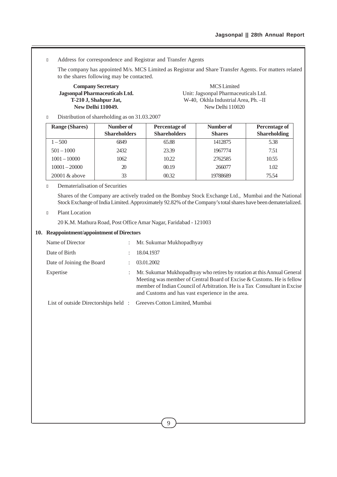## <sup>l</sup> Address for correspondence and Registrar and Transfer Agents

The company has appointed M/s. MCS Limited as Registrar and Share Transfer Agents. For matters related to the shares following may be contacted.

**Company Secretary** MCS Limited **Jagsonpal Pharmaceuticals Ltd.** Unit: Jagsonpal Pharmaceuticals Ltd. **T-210 J, Shahpur Jat,** W-40, Okhla Industrial Area, Ph. –II **New Delhi 110049.** New Delhi 110020

Distribution of shareholding as on 31.03.2007

| <b>Range (Shares)</b> | Number of<br><b>Shareholders</b> | Percentage of<br><b>Shareholders</b> | Number of<br><b>Shares</b> | Percentage of<br><b>Shareholding</b> |
|-----------------------|----------------------------------|--------------------------------------|----------------------------|--------------------------------------|
| $1 - 500$             | 6849                             | 65.88                                | 1412875                    | 5.38                                 |
| $501 - 1000$          | 2432                             | 23.39                                | 1967774                    | 7.51                                 |
| $1001 - 10000$        | 1062                             | 10.22                                | 2762585                    | 10.55                                |
| $10001 - 20000$       | 20                               | 00.19                                | 266077                     | 1.02                                 |
| $20001 \&$ above      | 33                               | 00.32.                               | 19788689                   | 75.54                                |

#### <sup>l</sup> Dematerialisation of Securities

Shares of the Company are actively traded on the Bombay Stock Exchange Ltd., Mumbai and the National Stock Exchange of India Limited. Approximately 92.82% of the Company's total shares have been dematerialized.

#### <sup>l</sup> Plant Location

20 K.M. Mathura Road, Post Office Amar Nagar, Faridabad - 121003

#### **10. Reappointment/appointment of Directors**

| Name of Director                                                    | ÷                    | Mr. Sukumar Mukhopadhyay                                                                                                                                                                                                                                                          |
|---------------------------------------------------------------------|----------------------|-----------------------------------------------------------------------------------------------------------------------------------------------------------------------------------------------------------------------------------------------------------------------------------|
| Date of Birth                                                       | $\ddot{\phantom{a}}$ | 18.04.1937                                                                                                                                                                                                                                                                        |
| Date of Joining the Board                                           | ÷                    | 03.01.2002                                                                                                                                                                                                                                                                        |
| Expertise                                                           | ٠                    | Mr. Sukumar Mukhopadhyay who retires by rotation at this Annual General<br>Meeting was member of Central Board of Excise & Customs. He is fellow<br>member of Indian Council of Arbitration. He is a Tax Consultant in Excise<br>and Customs and has vast experience in the area. |
| List of outside Directorships held : Greeves Cotton Limited, Mumbai |                      |                                                                                                                                                                                                                                                                                   |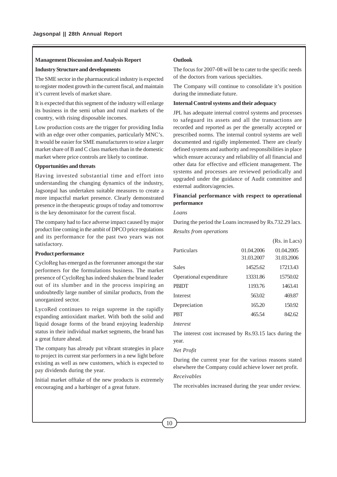#### **Management Discussion and Analysis Report**

#### **Industry Structure and developments**

The SME sector in the pharmaceutical industry is expected to register modest growth in the current fiscal, and maintain it's current levels of market share.

It is expected that this segment of the industry will enlarge its business in the semi urban and rural markets of the country, with rising disposable incomes.

Low production costs are the trigger for providing India with an edge over other companies, particularly MNC's. It would be easier for SME manufacturers to seize a larger market share of B and C class markets than in the domestic market where price controls are likely to continue.

#### **Opportunities and threats**

Having invested substantial time and effort into understanding the changing dynamics of the industry, Jagsonpal has undertaken suitable measures to create a more impactful market presence. Clearly demonstrated presence in the therapeutic groups of today and tomorrow is the key denominator for the current fiscal.

The company had to face adverse impact caused by major product line coming in the ambit of DPCO price regulations and its performance for the past two years was not satisfactory.

#### **Product performance**

CycloReg has emerged as the forerunner amongst the star performers for the formulations business. The market presence of CycloReg has indeed shaken the brand leader out of its slumber and in the process inspiring an undoubtedly large number of similar products, from the unorganized sector.

LycoRed continues to reign supreme in the rapidly expanding antioxidant market. With both the solid and liquid dosage forms of the brand enjoying leadership status in their individual market segments, the brand has a great future ahead.

The company has already put vibrant strategies in place to project its current star performers in a new light before existing as well as new customers, which is expected to pay dividends during the year.

Initial market offtake of the new products is extremely encouraging and a harbinger of a great future.

## **Outlook**

The focus for 2007-08 will be to cater to the specific needs of the doctors from various specialties.

The Company will continue to consolidate it's position during the immediate future.

#### **Internal Control systems and their adequacy**

JPL has adequate internal control systems and processes to safeguard its assets and all the transactions are recorded and reported as per the generally accepted or prescribed norms. The internal control systems are well documented and rigidly implemented. There are clearly defined systems and authority and responsibilities in place which ensure accuracy and reliability of all financial and other data for effective and efficient management. The systems and processes are reviewed periodically and upgraded under the guidance of Audit committee and external auditors/agencies.

## **Financial performance with respect to operational performance**

#### *Loans*

During the period the Loans increased by Rs.732.29 lacs.

*Results from operations*

|                         |            | (Rs. in Lacs) |
|-------------------------|------------|---------------|
| Particulars             | 01.04.2006 | 01.04.2005    |
|                         | 31.03.2007 | 31.03.2006    |
| <b>Sales</b>            | 14525.62   | 17213.43      |
| Operational expenditure | 13331.86   | 15750.02      |
| <b>PRIDT</b>            | 1193.76    | 1463.41       |
| Interest                | 563.02     | 469.87        |
| Depreciation            | 165.20     | 150.92        |
| <b>PRT</b>              | 465.54     | 842.62        |
|                         |            |               |

#### *Interest*

The interest cost increased by Rs.93.15 lacs during the year.

#### *Net Profit*

During the current year for the various reasons stated elsewhere the Company could achieve lower net profit.

#### *Receivables*

The receivables increased during the year under review.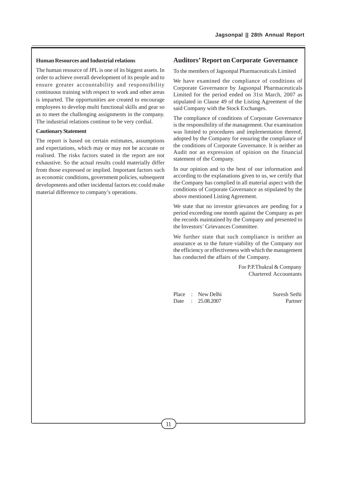### **Human Resources and Industrial relations**

The human resource of JPL is one of its biggest assets. In order to achieve overall development of its people and to ensure greater accountability and responsibility continuous training with respect to work and other areas is imparted. The opportunities are created to encourage employees to develop multi functional skills and gear so as to meet the challenging assignments in the company. The industrial relations continue to be very cordial.

#### **Cautionary Statement**

The report is based on certain estimates, assumptions and expectations, which may or may not be accurate or realised. The risks factors stated in the report are not exhaustive. So the actual results could materially differ from those expressed or implied. Important factors such as economic conditions, government policies, subsequent developments and other incidental factors etc could make material difference to company's operations.

## **Auditors' Report on Corporate Governance**

To the members of Jagsonpal Pharmaceuticals Limited

We have examined the compliance of conditions of Corporate Governance by Jagsonpal Pharmaceuticals Limited for the period ended on 31st March, 2007 as stipulated in Clause 49 of the Listing Agreement of the said Company with the Stock Exchanges.

The compliance of conditions of Corporate Governance is the responsibility of the management. Our examination was limited to procedures and implementation thereof, adopted by the Company for ensuring the compliance of the conditions of Corporate Governance. It is neither an Audit nor an expression of opinion on the financial statement of the Company.

In our opinion and to the best of our information and according to the explanations given to us, we certify that the Company has complied in all material aspect with the conditions of Corporate Governance as stipulated by the above mentioned Listing Agreement.

We state that no investor grievances are pending for a period exceeding one month against the Company as per the records maintained by the Company and presented to the Investors' Grievances Committee.

We further state that such compliance is neither an assurance as to the future viability of the Company nor the efficiency or effectiveness with which the management has conducted the affairs of the Company.

> For P.P.Thukral & Company Chartered Accountants

Place : New Delhi Suresh Sethi Date : 25.08.2007 Partner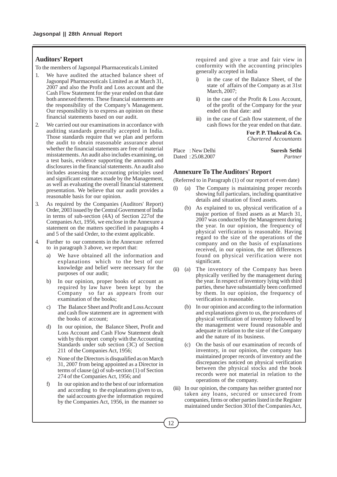# **Auditors' Report**

To the members of Jagsonpal Pharmaceuticals Limited

- We have audited the attached balance sheet of Jagsonpal Pharmaceuticals Limited as at March 31, 2007 and also the Profit and Loss account and the Cash Flow Statement for the year ended on that date both annexed thereto. These financial statements are the responsibility of the Company's Management. Our responsibility is to express an opinion on these financial statements based on our audit.
- 2. We carried out our examinations in accordance with auditing standards generally accepted in India. Those standards require that we plan and perform the audit to obtain reasonable assurance about whether the financial statements are free of material misstatements. An audit also includes examining, on a test basis, evidence supporting the amounts and disclosures in the financial statements. An audit also includes assessing the accounting principles used and significant estimates made by the Management, as well as evaluating the overall financial statement presentation. We believe that our audit provides a reasonable basis for our opinion.
- 3. As required by the Companies (Auditors' Report) Order, 2003 issued by the Central Government of India in terms of sub-section (4A) of Section 227of the Companies Act, 1956, we enclose in the Annexure a statement on the matters specified in paragraphs 4 and 5 of the said Order, to the extent applicable.
- 4. Further to our comments in the Annexure referred to in paragraph 3 above, we report that:
	- a) We have obtained all the information and explanations which to the best of our knowledge and belief were necessary for the purposes of our audit;
	- b) In our opinion, proper books of account as required by law have been kept by the Company so far as appears from our examination of the books;
	- c) The Balance Sheet and Profit and Loss Account and cash flow statement are in agreement with the books of account;
	- d) In our opinion, the Balance Sheet, Profit and Loss Account and Cash Flow Statement dealt with by this report comply with the Accounting Standards under sub section (3C) of Section 211 of the Companies Act, 1956;
	- e) None of the Directors is disqualified as on March 31, 2007 from being appointed as a Director in terms of clause (g) of sub-section (1) of Section 274 of the Companies Act, 1956; and
	- f) In our opinion and to the best of our information and according to the explanations given to us, the said accounts give the information required by the Companies Act, 1956, in the manner so

required and give a true and fair view in conformity with the accounting principles generally accepted in India

- in the case of the Balance Sheet, of the state of affairs of the Company as at 31st March, 2007;
- ii) in the case of the Profit & Loss Account, of the profit of the Company for the year ended on that date: and
- iii) in the case of Cash flow statement, of the cash flows for the year ended on that date.

**For P. P. Thukral & Co.** *Chartered Accountants*

| Place : New Delhi | <b>Suresh Sethi</b> |         |
|-------------------|---------------------|---------|
| Dated: 25.08.2007 |                     | Partner |

## **Annexure To The Auditors' Report**

(Referred to in Paragraph (1) of our report of even date)

- (i) (a) The Company is maintaining proper records showing full particulars, including quantitative details and situation of fixed assets.
	- (b) As explained to us, physical verification of a major portion of fixed assets as at March 31, 2007 was conducted by the Management during the year. In our opinion, the frequency of physical verification is reasonable. Having regard to the size of the operations of the company and on the basis of explanations received, in our opinion, the net differences found on physical verification were not significant.
- (ii) (a) The inventory of the Company has been physically verified by the management during the year. In respect of inventory lying with third parties, these have substantially been confirmed by them. In our opinion, the frequency of verification is reasonable.
	- (b) In our opinion and according to the information and explanations given to us, the procedures of physical verification of inventory followed by the management were found reasonable and adequate in relation to the size of the Company and the nature of its business.
	- (c) On the basis of our examination of records of inventory, in our opinion, the company has maintained proper records of inventory and the discrepancies noticed on physical verification between the physical stocks and the book records were not material in relation to the operations of the company.
- (iii) In our opinion, the company has neither granted nor taken any loans, secured or unsecured from companies, firms or other parties listed in the Register maintained under Section 301of the Companies Act,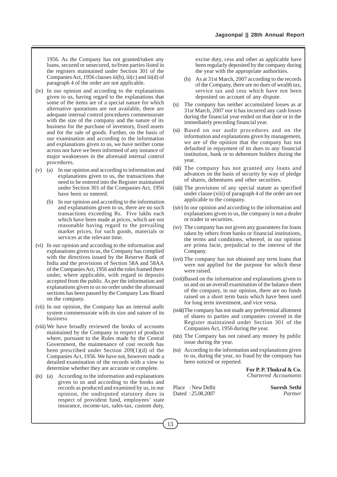1956. As the Company has not granted/taken any loans, secured or unsecured, to/from parties listed in the registers maintained under Section 301 of the Companies Act, 1956 clauses iii(b), iii(c) and iii(d) of paragraph 4 of the order are not applicable.

- (iv) In our opinion and according to the explanations given to us, having regard to the explanations that some of the items are of a special nature for which alternative quotations are not available, there are adequate internal control procedures commensurate with the size of the company and the nature of its business for the purchase of inventory, fixed assets and for the sale of goods. Further, on the basis of our examination and according to the information and explanations given to us, we have neither come across nor have we been informed of any instance of major weaknesses in the aforesaid internal control procedures.
- (v) (a) In our opinion and according to information and explanations given to us, the transactions that need to be entered into the Register maintained under Section 301 of the Companies Act, 1956 have been so entered.
	- (b) In our opinion and according to the information and explanations given to us, there are no such transactions exceeding Rs. Five lakhs each which have been made at prices, which are not reasonable having regard to the prevailing market prices, for such goods, materials or services at the relevant time.
- (vi) In our opinion and according to the information and explanations given to us, the Company has complied with the directives issued by the Reserve Bank of India and the provisions of Section 58A and 58AA of the Companies Act, 1956 and the rules framed there under, where applicable, with regard to deposits accepted from the public. As per the information and explanations given to us no order under the aforesaid sections has been passed by the Company Law Board on the company.
- (vii) In our opinion, the Company has an internal audit system commensurate with its size and nature of its business
- (viii) We have broadly reviewed the books of accounts maintained by the Company in respect of products where, pursuant to the Rules made by the Central Government, the maintenance of cost records has been prescribed under Section 209(1)(d) of the Companies Act, 1956. We have not, however made a detailed examination of the records with a view to determine whether they are accurate or complete.
- (ix) (a) According to the information and explanations given to us and according to the books and records as produced and examined by us, in our opinion, the undisputed statutory dues in respect of provident fund, employees' state insurance, income-tax, sales-tax, custom duty,

excise duty, cess and other as applicable have been regularly deposited by the company during the year with the appropriate authorities.

- (b) As at 31st March, 2007 according to the records of the Company, there are no dues of wealth tax, service tax and cess which have not been deposited on account of any dispute.
- (x) The company has neither accumulated losses as at 31st March, 2007 nor it has incurred any cash losses during the financial year ended on that date or in the immediately preceding financial year.
- (xi) Based on our audit procedures and on the information and explanations given by management, we are of the opinion that the company has not defaulted in repayment of its dues to any financial institution, bank or to debenture holders during the year.
- (xii) The company has not granted any loans and advances on the basis of security by way of pledge of shares, debentures and other securities.
- (xiii) The provisions of any special statute as specified under clause (xiii) of paragraph 4 of the order are not applicable to the company.
- (xiv) In our opinion and according to the information and explanations given to us, the company is not a dealer or trader in securities.
- (xv) The company has not given any guarantees for loans taken by others from banks or financial institutions, the terms and conditions, whereof, in our opinion are prima facie, prejudicial to the interest of the Company.
- (xvi) The company has not obtained any term loans that were not applied for the purpose for which these were raised.
- (xvii)Based on the information and explanations given to us and on an overall examination of the balance sheet of the company, in our opinion, there are no funds raised on a short term basis which have been used for long term investment, and vice versa.
- (xviii)The company has not made any preferential allotment of shares to parties and companies covered in the Register maintained under Section 301 of the Companies Act, 1956 during the year.
- (xix) The Company has not raised any money by public issue during the year.
- (xx) According to the information and explanations given to us, during the year, no fraud by the company has been noticed or reported.

**For P. P. Thukral & Co.** *Chartered Accountants*

Place : New Delhi **Suresh Sethi** Dated : 25.08.2007 *Partner*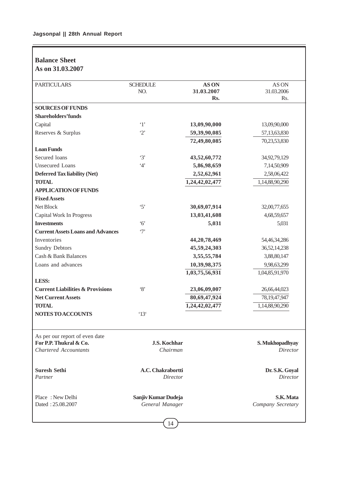# **Balance Sheet As on 31.03.2007**

| <b>PARTICULARS</b>                                                                       | <b>SCHEDULE</b><br>NO.                 | AS ON<br>31.03.2007<br>Rs. | AS ON<br>31.03.2006<br>Rs.        |
|------------------------------------------------------------------------------------------|----------------------------------------|----------------------------|-----------------------------------|
| <b>SOURCES OF FUNDS</b>                                                                  |                                        |                            |                                   |
| <b>Shareholders'funds</b>                                                                |                                        |                            |                                   |
| Capital                                                                                  | $\cdot_1$                              | 13,09,90,000               | 13,09,90,000                      |
| Reserves & Surplus                                                                       | $\cdot_2$                              | 59,39,90,085               | 57,13,63,830                      |
|                                                                                          |                                        | 72,49,80,085               | 70,23,53,830                      |
| <b>Loan Funds</b>                                                                        |                                        |                            |                                   |
| Secured loans                                                                            | $\cdot$ 3'                             | 43,52,60,772               | 34,92,79,129                      |
| <b>Unsecured Loans</b>                                                                   | 4'                                     | 5,86,98,659                | 7,14,50,909                       |
| Deferred Tax liability (Net)                                                             |                                        | 2,52,62,961                | 2,58,06,422                       |
| <b>TOTAL</b>                                                                             |                                        | 1,24,42,02,477             | 1,14,88,90,290                    |
| <b>APPLICATION OF FUNDS</b>                                                              |                                        |                            |                                   |
| <b>Fixed Assets</b>                                                                      |                                        |                            |                                   |
| Net Block                                                                                | $\cdot$ 5'                             | 30,69,07,914               | 32,00,77,655                      |
| Capital Work In Progress                                                                 |                                        | 13,03,41,608               | 4,68,59,657                       |
| <b>Investments</b>                                                                       | $6^{\circ}$                            | 5,031                      | 5,031                             |
| <b>Current Assets Loans and Advances</b>                                                 | $\cdot$ 7'                             |                            |                                   |
| Inventories                                                                              |                                        | 44, 20, 78, 469            | 54,46,34,286                      |
| <b>Sundry Debtors</b>                                                                    |                                        | 45,59,24,303               | 36,52,14,238                      |
| Cash & Bank Balances                                                                     |                                        | 3,55,55,784                | 3,88,80,147                       |
| Loans and advances                                                                       |                                        | 10,39,98,375               | 9,98,63,299                       |
|                                                                                          |                                        | 1,03,75,56,931             | 1,04,85,91,970                    |
| LESS:                                                                                    |                                        |                            |                                   |
| <b>Current Liabilities &amp; Provisions</b>                                              | $\cdot_8$                              | 23,06,09,007               | 26,66,44,023                      |
| <b>Net Current Assets</b>                                                                |                                        | 80,69,47,924               | 78, 19, 47, 947                   |
| <b>TOTAL</b>                                                                             |                                        | 1,24,42,02,477             | 1,14,88,90,290                    |
| <b>NOTES TO ACCOUNTS</b>                                                                 | '13'                                   |                            |                                   |
| As per our report of even date<br>For P.P. Thukral & Co.<br><b>Chartered Accountants</b> | <b>J.S. Kochhar</b><br>Chairman        |                            | S. Mukhopadhyay<br>Director       |
|                                                                                          |                                        |                            |                                   |
| <b>Suresh Sethi</b><br>Partner                                                           | A.C. Chakrabortti<br><b>Director</b>   |                            | Dr. S.K. Goyal<br><b>Director</b> |
| Place: New Delhi<br>Dated: 25.08.2007                                                    | Sanjiv Kumar Dudeja<br>General Manager |                            | S.K. Mata<br>Company Secretary    |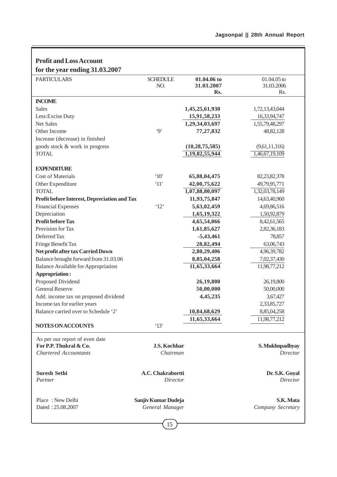1

| <b>PARTICULARS</b>                           | <b>SCHEDULE</b>               | 01.04.06 to       | 01.04.05 to                |
|----------------------------------------------|-------------------------------|-------------------|----------------------------|
|                                              | NO.                           | 31.03.2007        | 31.03.2006                 |
|                                              |                               | Rs.               | Rs.                        |
| <b>INCOME</b>                                |                               |                   |                            |
| <b>Sales</b>                                 |                               | 1,45,25,61,930    | 1,72,13,43,044             |
| Less: Excise Duty                            |                               | 15,91,58,233      | 16,33,94,747               |
| <b>Net Sales</b>                             |                               | 1,29,34,03,697    | 1,55,79,48,297             |
| Other Income                                 | $\cdot$ 9'                    | 77,27,832         | 48,82,128                  |
| Increase (decrease) in finished              |                               |                   |                            |
| goods stock & work in progress               |                               | (10, 28, 75, 585) | (9,61,11,316)              |
| <b>TOTAL</b>                                 |                               | 1,19,82,55,944    | 1,46,67,19,109             |
|                                              |                               |                   |                            |
| <b>EXPENDITURE</b>                           |                               |                   |                            |
| <b>Cost of Materials</b>                     | $^{\circ}10'$                 | 65,88,04,475      | 82,23,82,378               |
| Other Expenditure                            | '11'                          | 42,00,75,622      | 49,79,95,771               |
| <b>TOTAL</b>                                 |                               | 1,07,88,80,097    | 1,32,03,78,149             |
| Profit before Interest, Depreciation and Tax |                               | 11,93,75,847      | 14,63,40,960               |
| <b>Financial Expenses</b>                    | '12'                          | 5,63,02,459       | 4,69,86,516                |
| Depreciation                                 |                               | 1,65,19,322       | 1,50,92,879                |
| <b>Profit before Tax</b>                     |                               | 4,65,54,066       | 8,42,61,565                |
| Provision for Tax                            |                               | 1,61,85,627       | 2,82,36,183                |
| Deferred Tax                                 |                               | $-5,43,461$       | 78,857                     |
| Fringe Benefit Tax                           |                               | 28,82,494         | 63,06,743                  |
| Net profit after tax Carried Down            |                               | 2,80,29,406       | 4,96,39,782                |
| Balance brought forward from 31.03.06        |                               | 8,85,04,258       | 7,02,37,430                |
| <b>Balance Available for Appropriation</b>   |                               | 11,65,33,664      | 11,98,77,212               |
| Appropriation:                               |                               |                   |                            |
| Proposed Dividend<br><b>General Reserve</b>  |                               | 26,19,800         | 26,19,800                  |
|                                              |                               | 50,00,000         | 50,00,000                  |
| Add. income tax on proposed dividend         |                               | 4,45,235          | 3,67,427                   |
| Income tax for earlier years                 |                               |                   | 2,33,85,727                |
| Balance carried over to Schedule '2'         |                               | 10,84,68,629      | 8,85,04,258                |
| NOTES ON ACCOUNTS                            | '13'                          | 11,65,33,664      | 11,98,77,212               |
|                                              |                               |                   |                            |
| As per our report of even date               |                               |                   |                            |
| For P.P. Thukral & Co.                       | J.S. Kochhar                  |                   | S. Mukhopadhyay            |
| <b>Chartered Accountants</b>                 | Chairman                      |                   | <b>Director</b>            |
|                                              |                               |                   |                            |
| <b>Suresh Sethi</b><br>Partner               | A.C. Chakrabortti<br>Director |                   | Dr. S.K. Goyal<br>Director |
|                                              |                               |                   |                            |
| Place: New Delhi                             | Sanjiv Kumar Dudeja           |                   | S.K. Mata                  |
| Dated: 25.08.2007                            | General Manager               |                   | Company Secretary          |

f

# $\boxed{15}$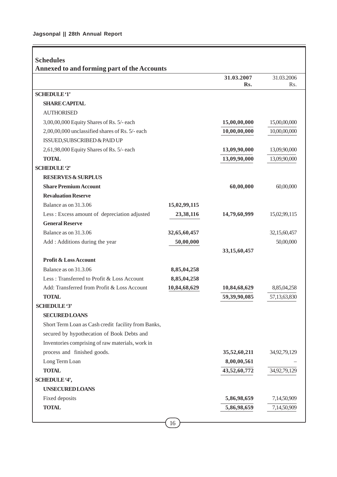Ē

|                                                     |              | 31.03.2007      | 31.03.2006   |
|-----------------------------------------------------|--------------|-----------------|--------------|
|                                                     |              | Rs.             | Rs.          |
| <b>SCHEDULE '1'</b>                                 |              |                 |              |
| <b>SHARE CAPITAL</b>                                |              |                 |              |
| <b>AUTHORISED</b>                                   |              |                 |              |
| 3,00,00,000 Equity Shares of Rs. 5/- each           |              | 15,00,00,000    | 15,00,00,000 |
| 2,00,00,000 unclassified shares of Rs. 5/- each     |              | 10,00,00,000    | 10,00,00,000 |
| ISSUED, SUBSCRIBED & PAID UP                        |              |                 |              |
| 2,61,98,000 Equity Shares of Rs. 5/- each           |              | 13,09,90,000    | 13,09,90,000 |
| <b>TOTAL</b>                                        |              | 13,09,90,000    | 13,09,90,000 |
| <b>SCHEDULE '2'</b>                                 |              |                 |              |
| <b>RESERVES &amp; SURPLUS</b>                       |              |                 |              |
| <b>Share Premium Account</b>                        |              | 60,00,000       | 60,00,000    |
| <b>Revaluation Reserve</b>                          |              |                 |              |
| Balance as on 31.3.06                               | 15,02,99,115 |                 |              |
| Less: Excess amount of depreciation adjusted        | 23,38,116    | 14,79,60,999    | 15,02,99,115 |
| <b>General Reserve</b>                              |              |                 |              |
| Balance as on 31.3.06                               | 32,65,60,457 |                 | 32,15,60,457 |
| Add: Additions during the year                      | 50,00,000    |                 | 50,00,000    |
|                                                     |              | 33, 15, 60, 457 |              |
| <b>Profit &amp; Loss Account</b>                    |              |                 |              |
| Balance as on 31.3.06                               | 8,85,04,258  |                 |              |
| Less: Transferred to Profit & Loss Account          | 8,85,04,258  |                 |              |
| Add: Transferred from Profit & Loss Account         | 10,84,68,629 | 10,84,68,629    | 8,85,04,258  |
| <b>TOTAL</b>                                        |              | 59,39,90,085    | 57,13,63,830 |
| <b>SCHEDULE</b> '3'                                 |              |                 |              |
| <b>SECURED LOANS</b>                                |              |                 |              |
| Short Term Loan as Cash credit facility from Banks, |              |                 |              |
| secured by hypothecation of Book Debts and          |              |                 |              |
| Inventories comprising of raw materials, work in    |              |                 |              |
| process and finished goods.                         |              | 35,52,60,211    | 34,92,79,129 |
| Long Term Loan                                      |              | 8,00,00,561     |              |
| <b>TOTAL</b>                                        |              | 43,52,60,772    | 34,92,79,129 |
| SCHEDULE '4',                                       |              |                 |              |
| <b>UNSECURED LOANS</b>                              |              |                 |              |
| Fixed deposits                                      |              | 5,86,98,659     | 7,14,50,909  |
| <b>TOTAL</b>                                        |              | 5,86,98,659     | 7,14,50,909  |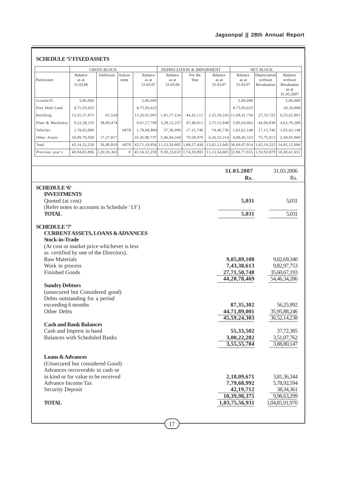# **Jagsonpal || 28th Annual Report**

|                                                                                                                                                                                                                                                          |                              | <b>GROSS BLOCK</b> |                |                              |                              | DEPRECIATION & IMPAIRMENT |                              | NET BLOCK                                                                                  |                                        |                                                                                         |
|----------------------------------------------------------------------------------------------------------------------------------------------------------------------------------------------------------------------------------------------------------|------------------------------|--------------------|----------------|------------------------------|------------------------------|---------------------------|------------------------------|--------------------------------------------------------------------------------------------|----------------------------------------|-----------------------------------------------------------------------------------------|
| Particulars                                                                                                                                                                                                                                              | Balance<br>as at<br>31.03.06 | Additions          | Adjust<br>ment | Balance<br>as at<br>31.03.07 | Balance<br>as at<br>31.03.06 | For the<br>Year           | Balance<br>as at<br>31.03.07 | Balance<br>as at<br>31.03.07                                                               | Depreciation<br>without<br>Revaluation | Balance<br>without<br>Revaluation<br>as at<br>31.03.2007                                |
| Goodwill                                                                                                                                                                                                                                                 | 3,00,000                     |                    |                | 3,00,000                     |                              |                           |                              | 3,00,000                                                                                   |                                        | 3,00,000                                                                                |
| Free Hold Land                                                                                                                                                                                                                                           | 8,75,93,625                  |                    |                | 8,75,93,625                  |                              |                           |                              | 8,75,93,625                                                                                |                                        | 20,20,808                                                                               |
| Building                                                                                                                                                                                                                                                 | 13,25,37,473                 | 63,528             |                | 13,26,01,001                 | 1,81,17,134                  | 44, 42, 111               |                              | 2, 25, 59, 245 11, 00, 41, 756                                                             | 27, 33, 725                            | 6,55,62,801                                                                             |
| Plant & Machinery                                                                                                                                                                                                                                        | 9,22,28,235                  | 38,89,474          |                | 9,61,17,709                  | 3,28,12,237                  | 47,40,611                 | 3,75,52,848                  | 5,85,64,862                                                                                | 44,94,838                              | 4,62,70,289                                                                             |
| Vehicles                                                                                                                                                                                                                                                 | 1,78,02,006                  |                    | 6878           | 1,78,08,884                  | 57,30,990                    | 17, 15, 746               | 74,46,736                    | 1,03,62,148                                                                                | 17, 15, 746                            | 1,03,62,148                                                                             |
| Other Assets                                                                                                                                                                                                                                             | 10,09,70,920                 | 17,27,817          |                | 10,26,98,737                 | 5,46,94,244                  | 79,58,970                 | 6,26,53,214                  | 4,00,45,523                                                                                | 75,75,013                              | 2,49,95,960                                                                             |
| Total                                                                                                                                                                                                                                                    | 43, 14, 32, 259              | 56,80,819          | 6878           | 43,71,19,956                 | 11, 13, 54, 605              | 1,88,57,438               |                              | 13,02,12,043 30,69,07,914                                                                  | 1,65,19,322                            | 14,95,12,006                                                                            |
| Previous year's                                                                                                                                                                                                                                          | 40,94,05,896                 | 2,20,26,363        | $\mathbf{0}$   | 43, 14, 32, 259              | 9,39,23,610                  | 1,74,30,995               | 11, 13, 54, 605              | 32,00,77,655   1,50,92,879                                                                 |                                        | 16,20,41,631                                                                            |
|                                                                                                                                                                                                                                                          |                              |                    |                |                              |                              |                           |                              |                                                                                            |                                        |                                                                                         |
|                                                                                                                                                                                                                                                          |                              |                    |                |                              |                              |                           |                              | 31.03.2007<br>Rs.                                                                          |                                        | 31.03.2006<br>Rs.                                                                       |
|                                                                                                                                                                                                                                                          |                              |                    |                |                              |                              |                           |                              |                                                                                            |                                        |                                                                                         |
| <b>SCHEDULE 6</b><br><b>INVESTMENTS</b><br>Quoted (at cost)<br>(Refer notes to accounts in Schedule '13')                                                                                                                                                |                              |                    |                |                              |                              |                           |                              | 5,031                                                                                      |                                        | 5,031                                                                                   |
| <b>TOTAL</b>                                                                                                                                                                                                                                             |                              |                    |                |                              |                              |                           |                              | 5,031                                                                                      |                                        | 5,031                                                                                   |
| <b>CURRENTASSETS, LOANS &amp; ADVANCES</b><br><b>Stock-in-Trade</b><br>(At cost or market price whichever is less<br>as certified by one of the Directors).<br><b>Raw Materials</b><br>Work in process<br><b>Finished Goods</b><br><b>Sundry Debtors</b> |                              |                    |                |                              |                              |                           |                              | 9,05,89,108<br>7,43,38,613<br>27,71,50,748<br>44, 20, 78, 469                              |                                        | 9,02,69,340<br>9,82,97,753<br>35,60,67,193<br>54,46,34,286                              |
| (unsecured but Considered good)<br>Debts outstanding for a period<br>exceeding 6 months<br>Other Debts                                                                                                                                                   |                              |                    |                |                              |                              |                           |                              | 87, 35, 302<br>44,71,89,001<br>45,59,24,303                                                |                                        | 56,25,992<br>35,95,88,246<br>36,52,14,238                                               |
| <b>Cash and Bank Balances</b><br>Cash and Imprest in hand<br><b>Balances with Scheduled Banks</b>                                                                                                                                                        |                              |                    |                |                              |                              |                           |                              | 55,33,502<br>3,00,22,282                                                                   |                                        | 37,72,385<br>3,51,07,762                                                                |
| <b>Loans &amp; Advances</b><br>(Unsecured but considered Good)<br>Advances recoverable in cash or<br>in kind or for value to be received<br>Advance Income Tax<br><b>Security Deposit</b><br><b>TOTAL</b>                                                |                              |                    |                |                              |                              |                           |                              | 3,55,55,784<br>2,18,09,671<br>7,79,68,992<br>42, 19, 712<br>10,39,98,375<br>1,03,75,56,931 |                                        | 3,88,80,147<br>3,81,36,344<br>5,78,92,594<br>38,34,361<br>9,98,63,299<br>1,04,85,91,970 |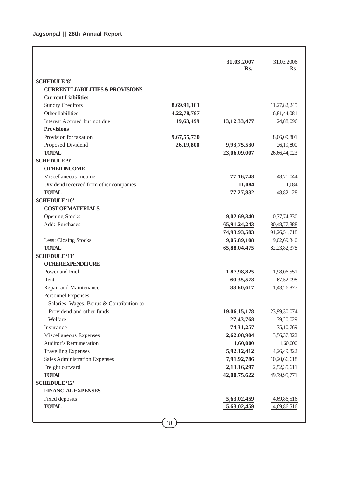# **Jagsonpal || 28th Annual Report**

|                                              |             | 31.03.2007      | 31.03.2006       |
|----------------------------------------------|-------------|-----------------|------------------|
|                                              |             | Rs.             | R <sub>s</sub> . |
| <b>SCHEDULE '8'</b>                          |             |                 |                  |
| <b>CURRENT LIABILITIES &amp; PROVISIONS</b>  |             |                 |                  |
| <b>Current Liabilities</b>                   |             |                 |                  |
| <b>Sundry Creditors</b>                      | 8,69,91,181 |                 | 11,27,82,245     |
| Other liabilities                            | 4,22,78,797 |                 | 6,81,44,081      |
| Interest Accrued but not due                 | 19,63,499   | 13, 12, 33, 477 | 24,88,096        |
| <b>Provisions</b>                            |             |                 |                  |
| Provision for taxation                       | 9,67,55,730 |                 | 8,06,09,801      |
| Proposed Dividend                            | 26,19,800   | 9,93,75,530     | 26,19,800        |
| <b>TOTAL</b>                                 |             | 23,06,09,007    | 26,66,44,023     |
| <b>SCHEDULE '9'</b>                          |             |                 |                  |
| <b>OTHER INCOME</b>                          |             |                 |                  |
| Miscellaneous Income                         |             | 77, 16, 748     | 48,71,044        |
| Dividend received from other companies       |             | 11,084          | 11,084           |
| <b>TOTAL</b>                                 |             | 77,27,832       | 48,82,128        |
| <b>SCHEDULE '10'</b>                         |             |                 |                  |
| <b>COST OF MATERIALS</b>                     |             |                 |                  |
| <b>Opening Stocks</b>                        |             | 9,02,69,340     | 10,77,74,330     |
| Add: Purchases                               |             | 65,91,24,243    | 80, 48, 77, 388  |
|                                              |             | 74,93,93,583    | 91,26,51,718     |
| Less: Closing Stocks                         |             | 9,05,89,108     | 9,02,69,340      |
| <b>TOTAL</b>                                 |             | 65,88,04,475    | 82,23,82,378     |
| <b>SCHEDULE '11'</b>                         |             |                 |                  |
| <b>OTHER EXPENDITURE</b>                     |             |                 |                  |
| Power and Fuel                               |             | 1,87,98,825     | 1,98,06,551      |
| Rent                                         |             | 60,35,578       | 67,52,098        |
| Repair and Maintenance                       |             | 83,60,617       | 1,43,26,877      |
| <b>Personnel Expenses</b>                    |             |                 |                  |
| $-$ Salaries, Wages, Bonus & Contribution to |             |                 |                  |
| Providend and other funds                    |             | 19,06,15,178    | 23,99,30,074     |
| - Welfare                                    |             | 27,43,768       | 39,20,029        |
| Insurance                                    |             | 74, 31, 257     | 75,10,769        |
| Miscellaneous Expenses                       |             | 2,62,08,904     | 3,56,37,322      |
| <b>Auditor's Remuneration</b>                |             | 1,60,000        | 1,60,000         |
| <b>Travelling Expenses</b>                   |             | 5,92,12,412     | 4,26,49,822      |
| Sales Administration Expenses                |             | 7,91,92,786     | 10,20,66,618     |
| Freight outward                              |             | 2,13,16,297     | 2,52,35,611      |
| <b>TOTAL</b>                                 |             | 42,00,75,622    | 49,79,95,771     |
| <b>SCHEDULE '12'</b>                         |             |                 |                  |
| <b>FINANCIAL EXPENSES</b>                    |             |                 |                  |
|                                              |             |                 |                  |
| Fixed deposits<br><b>TOTAL</b>               |             | 5,63,02,459     | 4,69,86,516      |
|                                              |             | 5,63,02,459     | 4,69,86,516      |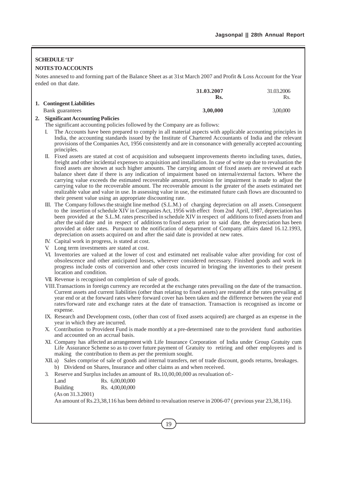# **SCHEDULE '13'**

## **NOTES TO ACCOUNTS**

Notes annexed to and forming part of the Balance Sheet as at 31st March 2007 and Profit & Loss Account for the Year ended on that date.

|                                | 31.03.2007 | 31.03.2006 |
|--------------------------------|------------|------------|
|                                | Rs.        | Rs.        |
| 1. Contingent Liabilities      |            |            |
| Bank guarantees                | 3.00.000   | 3,00,000   |
| $\sim$ $\sim$ $\sim$<br>$   -$ |            |            |

#### **2. Significant Accounting Policies**

The significant accounting policies followed by the Company are as follows:

- I. The Accounts have been prepared to comply in all material aspects with applicable accounting principles in India, the accounting standards issued by the Institute of Chartered Accountants of India and the relevant provisions of the Companies Act, 1956 consistently and are in consonance with generally accepted accounting principles.
- II. Fixed assets are stated at cost of acquisition and subsequent improvements thereto including taxes, duties, freight and other incidental expenses to acquisition and installation. In case of write up due to revaluation the fixed assets are shown at such higher amounts. The carrying amount of fixed assets are reviewed at each balance sheet date if there is any indication of impairment based on internal/external factors. Where the carrying value exceeds the estimated recoverable amount, provision for impairment is made to adjust the carrying value to the recoverable amount. The recoverable amount is the greater of the assets estimated net realizable value and value in use. In assessing value in use, the estimated future cash flows are discounted to their present value using an appropriate discounting rate.
- III. The Company follows the straight line method (S.L.M.) of charging depreciation on all assets. Consequent to the insertion of schedule XIV in Companies Act, 1956 with effect from 2nd April, 1987, depreciation has been provided at the S.L.M. rates prescribed in schedule XIV in respect of additions to fixed assets from and after the said date and in respect of additions to fixed assets prior to said date, the depreciation has been provided at older rates. Pursuant to the notification of department of Company affairs dated 16.12.1993, depreciation on assets acquired on and after the said date is provided at new rates.
- IV. Capital work in progress, is stated at cost.
- V. Long term investments are stated at cost.
- VI. Inventories are valued at the lower of cost and estimated net realisable value after providing for cost of obsolescence and other anticipated losses, wherever considered necessary. Finished goods and work in progress include costs of conversion and other costs incurred in bringing the inventories to their present location and condition.
- VII. Revenue is recognised on completion of sale of goods.
- VIII.Transactions in foreign currency are recorded at the exchange rates prevailing on the date of the transaction. Current assets and current liabilities (other than relating to fixed assets) are restated at the rates prevailing at year end or at the forward rates where forward cover has been taken and the difference between the year end rates/forward rate and exchange rates at the date of transaction. Transaction is recognised as income or expense.
- IX. Research and Development costs, (other than cost of fixed assets acquired) are charged as an expense in the year in which they are incurred.
- X. Contribution to Provident Fund is made monthly at a pre-determined rate to the provident fund authorities and accounted on an accrual basis.
- XI. Company has affected an arrangement with Life Insurance Corporation of India under Group Gratuity cum Life Assurance Scheme so as to cover future payment of Gratuity to retiring and other employees and is making the contribution to them as per the premium sought.
- XII. a) Sales comprise of sale of goods and internal transfers, net of trade discount, goods returns, breakages. b) Dividend on Shares, Insurance and other claims as and when received.
- 3. Reserve and Surplus includes an amount of Rs.10,00,00,000 as revaluation of:-

Land Rs. 6,00,00,000 Building Rs. 4,00,00,000 (As on 31.3.2001)

An amount of Rs.23,38,116 has been debited to revaluation reserve in 2006-07 ( previous year 23,38,116).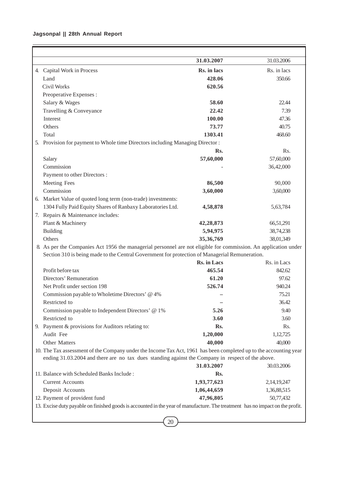# **Jagsonpal || 28th Annual Report**

|                                                                                                                               | 31.03.2007         | 31.03.2006  |
|-------------------------------------------------------------------------------------------------------------------------------|--------------------|-------------|
| 4. Capital Work in Process                                                                                                    | Rs. in lacs        | Rs. in lacs |
| Land                                                                                                                          | 428.06             | 350.66      |
| Civil Works                                                                                                                   | 620.56             |             |
| Preoperative Expenses :                                                                                                       |                    |             |
| Salary & Wages                                                                                                                | 58.60              | 22.44       |
| Travelling & Conveyance                                                                                                       | 22.42              | 7.39        |
| Interest                                                                                                                      | 100.00             | 47.36       |
| Others                                                                                                                        | 73.77              | 40.75       |
| Total                                                                                                                         | 1303.41            | 468.60      |
| 5. Provision for payment to Whole time Directors including Managing Director:                                                 |                    |             |
|                                                                                                                               | Rs.                | Rs.         |
| Salary                                                                                                                        | 57,60,000          | 57,60,000   |
| Commission                                                                                                                    |                    | 36,42,000   |
| Payment to other Directors :                                                                                                  |                    |             |
| Meeting Fees                                                                                                                  | 86,500             | 90,000      |
| Commission                                                                                                                    | 3,60,000           | 3,60,000    |
| Market Value of quoted long term (non-trade) investments:<br>6.                                                               |                    |             |
| 1304 Fully Paid Equity Shares of Ranbaxy Laboratories Ltd.                                                                    | 4,58,878           | 5,63,784    |
| 7. Repairs & Maintenance includes:                                                                                            |                    |             |
| Plant & Machinery                                                                                                             | 42,28,873          | 66,51,291   |
| <b>Building</b>                                                                                                               | 5,94,975           | 38,74,238   |
| Others                                                                                                                        | 35, 36, 769        | 38,01,349   |
| 8. As per the Companies Act 1956 the managerial personnel are not eligible for commission. An application under               |                    |             |
| Section 310 is being made to the Central Government for protection of Managerial Remuneration.                                |                    |             |
|                                                                                                                               | <b>Rs. in Lacs</b> | Rs. in Lacs |
| Profit before tax                                                                                                             | 465.54             | 842.62      |
| Directors' Remuneration                                                                                                       | 61.20              | 97.62       |
| Net Profit under section 198                                                                                                  | 526.74             | 940.24      |
| Commission payable to Wholetime Directors' @ 4%                                                                               |                    | 75.21       |
| Restricted to                                                                                                                 |                    | 36.42       |
| Commission payable to Independent Directors' @ 1%<br>Restricted to                                                            | 5.26               | 9.40        |
|                                                                                                                               | 3.60               | 3.60        |
| 9. Payment & provisions for Auditors relating to:                                                                             | Rs.                | Rs.         |
| Audit Fee<br>Other Matters                                                                                                    | 1,20,000           | 1,12,725    |
| 10. The Tax assessment of the Company under the Income Tax Act, 1961 has been completed up to the accounting year             | 40,000             | 40,000      |
| ending 31.03.2004 and there are no tax dues standing against the Company in respect of the above.                             |                    |             |
|                                                                                                                               | 31.03.2007         | 30.03.2006  |
| 11. Balance with Scheduled Banks Include:                                                                                     | Rs.                |             |
| <b>Current Accounts</b>                                                                                                       | 1,93,77,623        | 2,14,19,247 |
| Deposit Accounts                                                                                                              | 1,06,44,659        | 1,36,88,515 |
| 12. Payment of provident fund                                                                                                 | 47,96,805          | 50,77,432   |
| 13. Excise duty payable on finished goods is accounted in the year of manufacture. The treatment has no impact on the profit. |                    |             |
|                                                                                                                               |                    |             |
| 20                                                                                                                            |                    |             |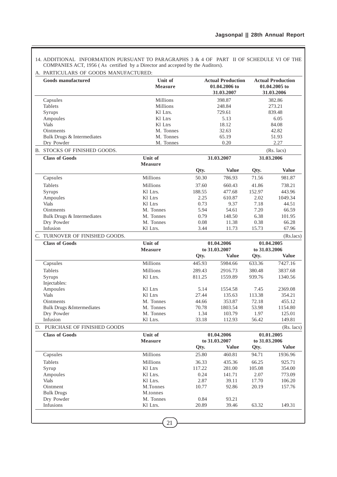14. ADDITIONAL INFORMATION PURSUANT TO PARAGRAPHS 3 & 4 OF PART II OF SCHEDULE VI OF THE COMPANIES ACT, 1956 ( As certified by a Director and accepted by the Auditors).

| <b>Goods manufactured</b>            | Unit of<br>Measure        |               | <b>Actual Production</b><br>01.04.2006 to<br>31.03.2007 |               | <b>Actual Production</b><br>01.04.2005 to<br>31.03.2006 |  |
|--------------------------------------|---------------------------|---------------|---------------------------------------------------------|---------------|---------------------------------------------------------|--|
| Capsules                             | <b>Millions</b>           |               | 398.87                                                  | 382.86        |                                                         |  |
| Tablets                              | <b>Millions</b>           |               | 248.84                                                  |               | 273.21                                                  |  |
| Syrups                               | Kl Ltrs.                  |               | 729.61                                                  |               | 839.48                                                  |  |
| Ampoules                             | Kl Ltrs                   |               | 5.13                                                    |               | 6.05                                                    |  |
| <b>Vials</b>                         | Kl Ltrs                   |               | 18.12                                                   |               | 84.08                                                   |  |
| <b>Ointments</b>                     | M. Tonnes                 |               | 32.63                                                   |               | 42.82                                                   |  |
| Bulk Drugs & Intermediates           | M. Tonnes                 |               | 65.19                                                   |               | 51.93                                                   |  |
| Dry Powder                           | M. Tonnes                 |               | 0.20                                                    |               | 2.27                                                    |  |
| <b>B. STOCKS OF FINISHED GOODS.</b>  |                           |               |                                                         |               | (Rs. lacs)                                              |  |
| <b>Class of Goods</b>                | Unit of<br><b>Measure</b> |               | 31.03.2007                                              |               | 31.03.2006                                              |  |
|                                      |                           | Qty.          | <b>Value</b>                                            | Qty.          | <b>Value</b>                                            |  |
| Capsules                             | Millions                  | 50.30         | 786.93                                                  | 71.56         | 981.87                                                  |  |
| Tablets                              | Millions                  | 37.60         | 660.43                                                  | 41.86         | 738.21                                                  |  |
| Syrups                               | Kl Ltrs.                  | 188.55        | 477.68                                                  | 152.97        | 443.96                                                  |  |
| Ampoules                             | Kl Ltrs                   | 2.25          | 610.87                                                  | 2.02          | 1049.34                                                 |  |
| <b>Vials</b>                         | Kl Ltrs                   | 0.73          | 9.37                                                    | 7.18          | 44.51                                                   |  |
| Ointments                            | M. Tonnes                 | 5.94          | 54.61                                                   | 7.20          | 66.59                                                   |  |
| Bulk Drugs & Intermediates           | M. Tonnes                 | 0.79          | 148.50                                                  | 6.38          | 101.95                                                  |  |
| Dry Powder                           | M. Tonnes                 | 0.08          | 11.38                                                   | 0.38          | 66.28                                                   |  |
| Infusion                             | Kl Ltrs.                  | 3.44          | 11.73                                                   | 15.73         | 67.96                                                   |  |
| C. TURNOVER OF FINISHED GOODS.       |                           |               |                                                         |               | (Rs.lacs)                                               |  |
| <b>Class of Goods</b>                | Unit of                   |               | 01.04.2006                                              |               | 01.04.2005                                              |  |
|                                      | <b>Measure</b>            | to 31.03.2007 |                                                         | to 31.03.2006 |                                                         |  |
|                                      |                           | Qty.          | <b>Value</b>                                            | Qty.          | <b>Value</b>                                            |  |
| Capsules                             | Millions                  | 445.93        | 5984.66                                                 | 633.36        | 7427.16                                                 |  |
| Tablets                              | Millions                  | 289.43        | 2916.73                                                 | 380.48        | 3837.68                                                 |  |
| Syrups                               | Kl Ltrs.                  | 811.25        | 1559.89                                                 | 939.76        | 1340.56                                                 |  |
| Injectables:                         |                           |               |                                                         |               |                                                         |  |
| Ampoules                             | Kl Ltrs                   | 5.14          | 1554.58                                                 | 7.45          | 2369.08                                                 |  |
| <b>Vials</b>                         | Kl Ltrs                   | 27.44         | 135.63                                                  | 113.38        | 354.21                                                  |  |
| Ointments                            | M. Tonnes                 | 44.66         | 353.87                                                  | 72.18         | 455.12                                                  |  |
| <b>Bulk Drugs &amp;Intermediates</b> | M. Tonnes                 | 70.78         | 1803.54                                                 | 53.98         | 1154.80                                                 |  |
| Dry Powder                           | M. Tonnes                 | 1.34          | 103.79                                                  | 1.97          | 125.01                                                  |  |
| Infusion                             | Kl Ltrs.                  | 33.18         | 112.93                                                  | 56.42         | 149.81                                                  |  |
| D. PURCHASE OF FINISHED GOODS        |                           |               |                                                         |               | (Rs. lacs)                                              |  |
| <b>Class of Goods</b>                | Unit of                   |               | 01.04.2006                                              |               | 01.01.2005                                              |  |
|                                      | <b>Measure</b>            |               | to 31.03.2007                                           | to 31.03.2006 |                                                         |  |
|                                      |                           | Qty.          | <b>Value</b>                                            | Qty.          | <b>Value</b>                                            |  |
| Capsules                             | Millions                  | 25.80         | 460.81                                                  | 94.71         | 1936.96                                                 |  |
| Tablets                              | Millions                  | 36.33         | 435.36                                                  | 66.25         | 925.71                                                  |  |
| Syrup                                | Kl Ltrs                   | 117.22        | 281.00                                                  | 105.08        | 354.00                                                  |  |
| Ampoules                             | Kl Ltrs.                  | 0.24          | 141.71                                                  | 2.07          | 773.09                                                  |  |
| <b>Vials</b>                         | Kl Ltrs.                  | 2.87          | 39.11                                                   | 17.70         | 106.20                                                  |  |
| Ointment                             | M.Tonnes                  | 10.77         | 92.86                                                   | 20.19         | 157.76                                                  |  |
| <b>Bulk Drugs</b>                    | M.tonnes                  |               |                                                         |               |                                                         |  |
| Dry Powder                           | M. Tonnes                 | 0.84          | 93.21                                                   |               |                                                         |  |
| Infusions                            | Kl Ltrs.                  | 20.89         | 39.46                                                   | 63.32         | 149.31                                                  |  |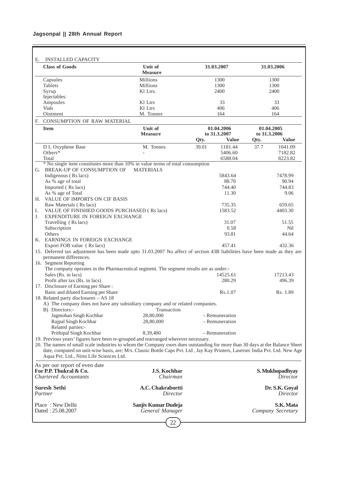# **Jagsonpal || 28th Annual Report**

| <b>INSTALLED CAPACITY</b><br>Е.                                                                                                                                                                                                                                |                           |       |                |              |                   |
|----------------------------------------------------------------------------------------------------------------------------------------------------------------------------------------------------------------------------------------------------------------|---------------------------|-------|----------------|--------------|-------------------|
| <b>Class of Goods</b>                                                                                                                                                                                                                                          | Unit of<br><b>Measure</b> |       | 31.03.2007     |              | 31.03.2006        |
| Capsules                                                                                                                                                                                                                                                       | Millions                  |       | 1300           |              | 1300              |
| Tablets                                                                                                                                                                                                                                                        | Millions                  |       | 1300           |              | 1300              |
| Syrup                                                                                                                                                                                                                                                          | Kl Ltrs.                  |       | 2400           |              | 2400              |
| Injectables:                                                                                                                                                                                                                                                   |                           |       |                |              |                   |
| Ampoules                                                                                                                                                                                                                                                       | Kl Ltrs                   |       | 33             |              | 33                |
| <b>Vials</b>                                                                                                                                                                                                                                                   | Kl Ltrs                   |       | 406            |              | 406               |
| Ointment                                                                                                                                                                                                                                                       | M. Tonnes                 |       | 164            |              | 164               |
| F. CONSUMPTION OF RAW MATERIAL                                                                                                                                                                                                                                 |                           |       |                |              |                   |
| <b>Item</b>                                                                                                                                                                                                                                                    | Unit of                   |       | 01.04.2006     |              | 01.04.2005        |
|                                                                                                                                                                                                                                                                | <b>Measure</b>            |       | to 31.3.2007   | to 31.3.2006 |                   |
|                                                                                                                                                                                                                                                                |                           | Qty.  | <b>Value</b>   | Qty.         | <b>Value</b>      |
| D L Oxyphene Base                                                                                                                                                                                                                                              | M. Tonnes                 | 39.01 | 1181.44        | 37.7         | 1041.09           |
| Others*                                                                                                                                                                                                                                                        |                           |       | 5406.60        |              | 7182.82           |
| Total                                                                                                                                                                                                                                                          |                           |       | 6588.04        |              | 8223.82           |
| * No single item constitutes more than 10% in value terms of total consumption<br>G. BREAK-UP OF CONSUMPTION OF                                                                                                                                                | <b>MATERIALS</b>          |       |                |              |                   |
| Indigenous (Rs lacs)                                                                                                                                                                                                                                           |                           |       | 5843.64        |              | 7478.99           |
| As % age of total                                                                                                                                                                                                                                              |                           |       | 88.70          |              | 90.94             |
| Imported (Rs lacs)                                                                                                                                                                                                                                             |                           |       | 744.40         |              | 744.83            |
| As % age of Total                                                                                                                                                                                                                                              |                           |       | 11.30          |              | 9.06              |
| H. VALUE OF IMPORTS ON CIF BASIS                                                                                                                                                                                                                               |                           |       |                |              |                   |
| Raw Materials (Rs lacs)                                                                                                                                                                                                                                        |                           |       | 735.35         |              | 659.65            |
| Ι.<br>VALUE OF FINISHED GOODS PURCHASED (Rs lacs)                                                                                                                                                                                                              |                           |       | 1583.52        |              | 4403.30           |
| J.<br>EXPENDITURE IN FOREIGN EXCHANGE                                                                                                                                                                                                                          |                           |       |                |              |                   |
| Travelling (Rs lacs)                                                                                                                                                                                                                                           |                           |       | 31.07          |              | 51.55             |
| Subscription                                                                                                                                                                                                                                                   |                           |       | 0.58           |              | Nil               |
| Others                                                                                                                                                                                                                                                         |                           |       | 93.81          |              | 44.64             |
| K. EARNINGS IN FOREIGN EXCHANGE                                                                                                                                                                                                                                |                           |       |                |              |                   |
| Export FOB value (Rs lacs)                                                                                                                                                                                                                                     |                           |       | 457.41         |              | 432.36            |
| 15. Deferred tax adjustment has been made upto 31.03.2007 No affect of section 43B liabilities have been made as they are<br>permanent differences.                                                                                                            |                           |       |                |              |                   |
| 16. Segment Reporting                                                                                                                                                                                                                                          |                           |       |                |              |                   |
| The company operates in the Pharmaceutical segment. The segment results are as under:-                                                                                                                                                                         |                           |       |                |              |                   |
| Sales (Rs. in lacs)                                                                                                                                                                                                                                            |                           |       | 14525.61       |              | 17213.43          |
| Profit after tax (Rs. in lacs)                                                                                                                                                                                                                                 |                           |       | 280.29         |              | 496.39            |
| 17. Disclosure of Earning per Share:                                                                                                                                                                                                                           |                           |       |                |              |                   |
| Basic and diluted Earning per Share                                                                                                                                                                                                                            |                           |       | Rs.1.07        |              | Rs. 1.89          |
| 18. Related party disclosures - AS 18                                                                                                                                                                                                                          |                           |       |                |              |                   |
| A) The company does not have any subsidiary company and or related companies.                                                                                                                                                                                  |                           |       |                |              |                   |
| B) Directors:-                                                                                                                                                                                                                                                 | Transaction               |       |                |              |                   |
| Jagmohan Singh Kochhar                                                                                                                                                                                                                                         | 28,80,000                 |       | - Remuneration |              |                   |
| Rajpal Singh Kochhar                                                                                                                                                                                                                                           | 28,80,000                 |       | - Remuneration |              |                   |
| Related parties:-                                                                                                                                                                                                                                              |                           |       |                |              |                   |
| Prithipal Singh Kochhar                                                                                                                                                                                                                                        | 8,39,400                  |       | - Remuneration |              |                   |
| 19. Previous years' figures have been re-grouped and rearranged wherever necessary.                                                                                                                                                                            |                           |       |                |              |                   |
| 20. The names of small scale industries to whom the Company owes dues outstanding for more than 30 days at the Balance Sheet<br>date, computed on unit-wise basis, are: M/s. Classic Bottle Caps Pvt. Ltd , Jay Kay Printers, Lasersec India Pvt. Ltd. New Age |                           |       |                |              |                   |
| Aqua Pvt. Ltd., Nitin Life Sciences Ltd.                                                                                                                                                                                                                       |                           |       |                |              |                   |
| As per our report of even date                                                                                                                                                                                                                                 |                           |       |                |              |                   |
| For P.P. Thukral & Co.                                                                                                                                                                                                                                         | <b>J.S. Kochhar</b>       |       |                |              | S. Mukhopadhyay   |
| <b>Chartered Accountants</b>                                                                                                                                                                                                                                   | Chairman                  |       |                |              | Director          |
|                                                                                                                                                                                                                                                                |                           |       |                |              |                   |
| <b>Suresh Sethi</b>                                                                                                                                                                                                                                            | A.C. Chakrabortti         |       |                |              | Dr. S.K. Goyal    |
| Partner                                                                                                                                                                                                                                                        | Director                  |       |                |              | Director          |
| Place: New Delhi                                                                                                                                                                                                                                               | Sanjiv Kumar Dudeja       |       |                |              | S.K. Mata         |
| Dated: 25.08.2007                                                                                                                                                                                                                                              | General Manager           |       |                |              | Company Secretary |
|                                                                                                                                                                                                                                                                |                           |       |                |              |                   |
|                                                                                                                                                                                                                                                                | 22                        |       |                |              |                   |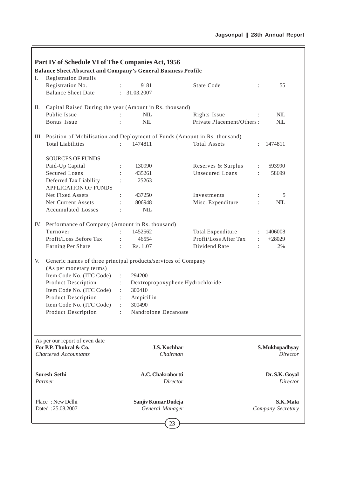| I.  | Part IV of Schedule VI of The Companies Act, 1956<br><b>Balance Sheet Abstract and Company's General Business Profile</b><br><b>Registration Details</b>                                                                                                        |                                                                                                                |                           |                |                                                           |
|-----|-----------------------------------------------------------------------------------------------------------------------------------------------------------------------------------------------------------------------------------------------------------------|----------------------------------------------------------------------------------------------------------------|---------------------------|----------------|-----------------------------------------------------------|
|     | Registration No.                                                                                                                                                                                                                                                | 9181                                                                                                           | <b>State Code</b>         |                | 55                                                        |
|     | <b>Balance Sheet Date</b>                                                                                                                                                                                                                                       | : 31.03.2007                                                                                                   |                           |                |                                                           |
|     |                                                                                                                                                                                                                                                                 |                                                                                                                |                           |                |                                                           |
| П.  | Capital Raised During the year (Amount in Rs. thousand)                                                                                                                                                                                                         |                                                                                                                |                           |                |                                                           |
|     | Public Issue                                                                                                                                                                                                                                                    | <b>NIL</b>                                                                                                     | Rights Issue              |                | <b>NIL</b>                                                |
|     | Bonus Issue                                                                                                                                                                                                                                                     | <b>NIL</b>                                                                                                     | Private Placement/Others: |                | NIL                                                       |
|     | III. Position of Mobilisation and Deployment of Funds (Amount in Rs. thousand)                                                                                                                                                                                  |                                                                                                                |                           |                |                                                           |
|     | <b>Total Liabilities</b>                                                                                                                                                                                                                                        | 1474811                                                                                                        | <b>Total Assets</b>       |                | 1474811                                                   |
|     |                                                                                                                                                                                                                                                                 |                                                                                                                |                           |                |                                                           |
|     | <b>SOURCES OF FUNDS</b>                                                                                                                                                                                                                                         |                                                                                                                |                           |                |                                                           |
|     | Paid-Up Capital                                                                                                                                                                                                                                                 | 130990                                                                                                         | Reserves & Surplus        | $\ddot{\cdot}$ | 593990                                                    |
|     | Secured Loans                                                                                                                                                                                                                                                   | 435261                                                                                                         | Unsecured Loans           | ÷              | 58699                                                     |
|     | Deferred Tax Liability                                                                                                                                                                                                                                          | 25263                                                                                                          |                           |                |                                                           |
|     | <b>APPLICATION OF FUNDS</b>                                                                                                                                                                                                                                     |                                                                                                                |                           |                |                                                           |
|     | Net Fixed Assets                                                                                                                                                                                                                                                | 437250                                                                                                         | Investments               |                | 5                                                         |
|     | Net Current Assets                                                                                                                                                                                                                                              | 806948                                                                                                         | Misc. Expenditure         | ÷              | <b>NIL</b>                                                |
|     | <b>Accumulated Losses</b>                                                                                                                                                                                                                                       | <b>NIL</b>                                                                                                     |                           |                |                                                           |
| IV. | Performance of Company (Amount in Rs. thousand)                                                                                                                                                                                                                 |                                                                                                                |                           |                |                                                           |
|     | Turnover                                                                                                                                                                                                                                                        | 1452562                                                                                                        | Total Expenditure         |                | 1406008                                                   |
|     | Profit/Loss Before Tax                                                                                                                                                                                                                                          | 46554<br>$\ddot{\cdot}$                                                                                        | Profit/Loss After Tax     | $\ddot{\cdot}$ | $+28029$                                                  |
|     | Earning Per Share                                                                                                                                                                                                                                               | Rs. 1.07                                                                                                       | Dividend Rate             |                | 2%                                                        |
| V.  | Generic names of three principal products/services of Company<br>(As per monetary terms)<br>Item Code No. (ITC Code)<br><b>Product Description</b><br>Item Code No. (ITC Code)<br>Product Description<br>Item Code No. (ITC Code)<br><b>Product Description</b> | 294200<br>÷<br>Dextropropoxyphene Hydrochloride<br>300410<br>Ampicillin<br>÷<br>300490<br>Nandrolone Decanoate |                           |                |                                                           |
|     | As per our report of even date<br>For P.P. Thukral & Co.<br><b>Chartered Accountants</b><br><b>Suresh Sethi</b><br>Partner                                                                                                                                      | <b>J.S. Kochhar</b><br>Chairman<br>A.C. Chakrabortti<br>Director                                               |                           |                | S. Mukhopadhyay<br>Director<br>Dr. S.K. Goyal<br>Director |
|     | Place: New Delhi<br>Dated: 25.08.2007                                                                                                                                                                                                                           | Sanjiv Kumar Dudeja<br>General Manager                                                                         |                           |                | S.K. Mata<br>Company Secretary                            |
|     |                                                                                                                                                                                                                                                                 | 23                                                                                                             |                           |                |                                                           |

ľ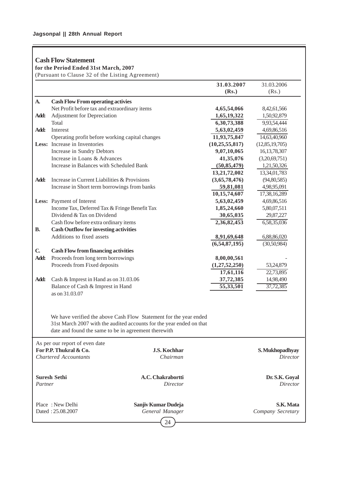# **Cash Flow Statement**

**for the Period Ended 31st March, 2007**

(Pursuant to Clause 32 of the Listing Agreement)

|              |                                                                                                                                                                                                   |                                              | 31.03.2007        | 31.03.2006                         |
|--------------|---------------------------------------------------------------------------------------------------------------------------------------------------------------------------------------------------|----------------------------------------------|-------------------|------------------------------------|
|              |                                                                                                                                                                                                   |                                              | (Rs.)             | (Rs.)                              |
| A.           | <b>Cash Flow From operating activies</b>                                                                                                                                                          |                                              |                   |                                    |
|              | Net Profit before tax and extraordinary items                                                                                                                                                     |                                              | 4,65,54,066       | 8,42,61,566                        |
| Add:         | Adjustment for Depreciation                                                                                                                                                                       |                                              | 1,65,19,322       | 1,50,92,879                        |
|              | Total                                                                                                                                                                                             |                                              | 6,30,73,388       | 9,93,54,444                        |
| Add:         | Interest                                                                                                                                                                                          |                                              | 5,63,02,459       | 4,69,86,516                        |
|              | Operating profit before working capital changes                                                                                                                                                   |                                              | 11,93,75,847      | 14,63,40,960                       |
|              | Less: Increase in Inventories                                                                                                                                                                     |                                              | (10, 25, 55, 817) | (12, 85, 19, 705)                  |
|              | Increase in Sundry Debtors                                                                                                                                                                        |                                              | 9,07,10,065       | 16, 13, 78, 307                    |
|              | Increase in Loans & Advances                                                                                                                                                                      |                                              | 41,35,076         | (3,20,69,751)                      |
|              | Increase in Balances with Scheduled Bank                                                                                                                                                          |                                              | (50, 85, 479)     | 1,21,50,326                        |
|              |                                                                                                                                                                                                   |                                              | 13,21,72,002      | 13,34,01,783                       |
| Add:         | Increase in Current Liabilities & Provisions                                                                                                                                                      |                                              | (3,65,78,476)     | (94, 80, 585)                      |
|              | Increase in Short term borrowings from banks                                                                                                                                                      |                                              | 59,81,081         | 4,98,95,091                        |
|              |                                                                                                                                                                                                   |                                              | 10,15,74,607      | 17,38,16,289                       |
|              | Less: Payment of Interest                                                                                                                                                                         |                                              | 5,63,02,459       | 4,69,86,516                        |
|              | Income Tax, Deferred Tax & Fringe Benefit Tax                                                                                                                                                     |                                              | 1,85,24,660       | 5,80,07,511                        |
|              | Dividend & Tax on Dividend                                                                                                                                                                        |                                              | 30,65,035         | 29,87,227                          |
|              | Cash flow before extra ordinary items                                                                                                                                                             |                                              | 2,36,82,453       | 6,58,35,036                        |
| <b>B.</b>    | <b>Cash Outflow for investing activities</b>                                                                                                                                                      |                                              |                   |                                    |
|              | Additions to fixed assets                                                                                                                                                                         |                                              | 8,91,69,648       | 6,88,86,020                        |
|              |                                                                                                                                                                                                   |                                              | (6,54,87,195)     | (30,50,984)                        |
| $\mathbf{C}$ | <b>Cash Flow from financing activities</b>                                                                                                                                                        |                                              |                   |                                    |
| Add:         | Proceeds from long term borrowings                                                                                                                                                                |                                              | 8,00,00,561       |                                    |
|              | Proceeds from Fixed deposits                                                                                                                                                                      |                                              | (1,27,52,250)     | 53,24,879                          |
|              |                                                                                                                                                                                                   |                                              | 17,61,116         | 22,73,895                          |
| Add:         | Cash & Imprest in Hand as on 31.03.06                                                                                                                                                             |                                              | 37,72,385         | 14,98,490                          |
|              | Balance of Cash & Imprest in Hand                                                                                                                                                                 |                                              | 55,33,501         | 37,72,385                          |
|              | as on 31.03.07                                                                                                                                                                                    |                                              |                   |                                    |
|              | We have verified the above Cash Flow Statement for the year ended<br>31st March 2007 with the audited accounts for the year ended on that<br>date and found the same to be in agreement therewith |                                              |                   |                                    |
|              | As per our report of even date<br>For P.P. Thukral & Co.<br><b>Chartered Accountants</b>                                                                                                          | <b>J.S. Kochhar</b><br>Chairman              |                   | S. Mukhopadhyay<br><b>Director</b> |
| Partner      | <b>Suresh Sethi</b>                                                                                                                                                                               | A.C. Chakrabortti<br><b>Director</b>         |                   | Dr. S.K. Goyal<br>Director         |
|              | Place: New Delhi<br>Dated: 25.08.2007                                                                                                                                                             | Sanjiv Kumar Dudeja<br>General Manager<br>24 |                   | S.K. Mata<br>Company Secretary     |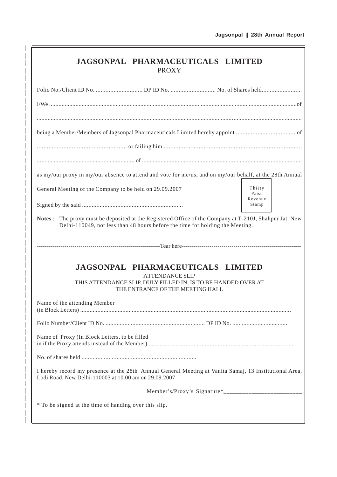| <b>JAGSONPAL PHARMACEUTICALS LIMITED</b><br><b>PROXY</b>                                                                                                                                |                            |
|-----------------------------------------------------------------------------------------------------------------------------------------------------------------------------------------|----------------------------|
|                                                                                                                                                                                         |                            |
|                                                                                                                                                                                         |                            |
|                                                                                                                                                                                         |                            |
|                                                                                                                                                                                         |                            |
|                                                                                                                                                                                         |                            |
| as my/our proxy in my/our absence to attend and vote for me/us, and on my/our behalf, at the 28th Annual                                                                                |                            |
| General Meeting of the Company to be held on 29.09.2007                                                                                                                                 | Thirty<br>Paise<br>Revenue |
|                                                                                                                                                                                         | Stamp                      |
| Notes: The proxy must be deposited at the Registered Office of the Company at T-210J, Shahpur Jat, New<br>Delhi-110049, not less than 48 hours before the time for holding the Meeting. |                            |
|                                                                                                                                                                                         |                            |
| JAGSONPAL PHARMACEUTICALS LIMITED<br><b>ATTENDANCE SLIP</b><br>THIS ATTENDANCE SLIP, DULY FILLED IN, IS TO BE HANDED OVER AT<br>THE ENTRANCE OF THE MEETING HALL                        |                            |
| Name of the attending Member                                                                                                                                                            |                            |
|                                                                                                                                                                                         |                            |
| Name of Proxy (In Block Letters, to be filled                                                                                                                                           |                            |
|                                                                                                                                                                                         |                            |
| I hereby record my presence at the 28th Annual General Meeting at Vanita Samaj, 13 Institutional Area,<br>Lodi Road, New Delhi-110003 at 10.00 am on 29.09.2007                         |                            |
|                                                                                                                                                                                         |                            |
| * To be signed at the time of handing over this slip.                                                                                                                                   |                            |

I  $\overline{\phantom{a}}$  $\overline{\phantom{a}}$  $\overline{\phantom{a}}$  $\overline{\phantom{a}}$ 

> I  $\overline{\phantom{a}}$  $\overline{\phantom{a}}$ I

> I I

> I I

I I

I I

I

I

I  $\overline{\phantom{a}}$ I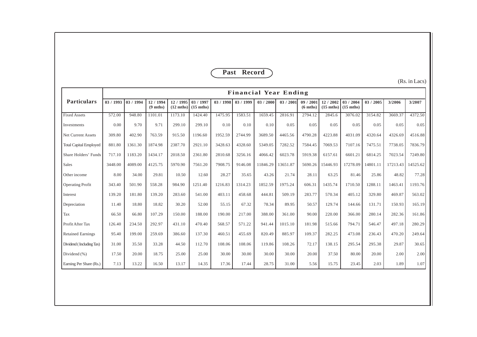|                               |                     |         |                               |                                |                                  |           | Past Record |                              |          |                               |                                  |                                |           |          |               |
|-------------------------------|---------------------|---------|-------------------------------|--------------------------------|----------------------------------|-----------|-------------|------------------------------|----------|-------------------------------|----------------------------------|--------------------------------|-----------|----------|---------------|
|                               |                     |         |                               |                                |                                  |           |             |                              |          |                               |                                  |                                |           |          | (Rs. in Lacs) |
|                               |                     |         |                               |                                |                                  |           |             | <b>Financial Year Ending</b> |          |                               |                                  |                                |           |          |               |
| <b>Particulars</b>            | $03/1993$ 03 / 1994 |         | 12/1994<br>$(9 \text{ mths})$ | 12/1995<br>$(12 \text{ mths})$ | 03 / 1997<br>$(15 \text{ mths})$ | 03 / 1998 | 03/1999     | 03 / 2000                    | 03/2001  | 09/2001<br>$(6 \text{ mths})$ | 12 / 2002<br>$(15 \text{ mths})$ | 03/2004<br>$(15 \text{ mths})$ | 03 / 2005 | 3/2006   | 3/2007        |
| <b>Fixed Assets</b>           | 572.00              | 948.80  | 1101.01                       | 1173.10                        | 1424.40                          | 1475.95   | 1583.51     | 1659.45                      | 2816.91  | 2794.12                       | 2845.6                           | 3076.02                        | 3154.82   | 3669.37  | 4372.50       |
| Investments                   | 0.00                | 9.70    | 9.71                          | 299.10                         | 299.10                           | 0.10      | 0.10        | 0.10                         | 0.05     | 0.05                          | 0.05                             | 0.05                           | 0.05      | 0.05     | 0.05          |
| <b>Net Current Assets</b>     | 309.80              | 402.90  | 763.59                        | 915.50                         | 1196.60                          | 1952.59   | 2744.99     | 3689.50                      | 4465.56  | 4790.28                       | 4223.88                          | 4031.09                        | 4320.64   | 4326.69  | 4516.88       |
| <b>Total Capital Employed</b> | 881.80              | 1361.30 | 1874.98                       | 2387.70                        | 2921.10                          | 3428.63   | 4328.60     | 5349.05                      | 7282.52  | 7584.45                       | 7069.53                          | 7107.16                        | 7475.51   | 7738.05  | 7836.79       |
| Share Holders' Funds          | 717.10              | 1183.20 | 1434.17                       | 2018.50                        | 2361.80                          | 2810.68   | 3256.16     | 4066.42                      | 6023.78  | 5919.38                       | 6157.61                          | 6601.21                        | 6814.25   | 7023.54  | 7249.80       |
| <b>Sales</b>                  | 3448.00             | 4089.00 | 4125.75                       | 5970.90                        | 7561.20                          | 7908.75   | 9146.08     | 11846.29                     | 13651.87 | 5690.26                       | 15446.93                         | 17278.09                       | 14801.11  | 17213.43 | 14525.62      |
| Other income                  | 8.00                | 34.00   | 29.81                         | 10.50                          | 12.60                            | 28.27     | 35.65       | 43.26                        | 21.74    | 28.11                         | 63.25                            | 81.46                          | 25.86     | 48.82    | 77.28         |
| <b>Operating Profit</b>       | 343.40              | 501.90  | 558.28                        | 984.90                         | 1251.40                          | 1216.83   | 1314.23     | 1852.59                      | 1975.24  | 606.31                        | 1435.74                          | 1710.50                        | 1288.11   | 1463.41  | 1193.76       |
| Interest                      | 139.20              | 181.80  | 139.20                        | 283.60                         | 541.00                           | 403.11    | 458.68      | 444.81                       | 509.19   | 283.77                        | 570.34                           | 405.12                         | 329.80    | 469.87   | 563.02        |
| Depreciation                  | 11.40               | 18.80   | 18.82                         | 30.20                          | 52.00                            | 55.15     | 67.32       | 78.34                        | 89.95    | 50.57                         | 129.74                           | 144.66                         | 131.71    | 150.93   | 165.19        |
| Tax                           | 66.50               | 66.80   | 107.29                        | 150.00                         | 188.00                           | 190.00    | 217.00      | 388.00                       | 361.00   | 90.00                         | 220.00                           | 366.00                         | 280.14    | 282.36   | 161.86        |
| Profit After Tax              | 126.40              | 234.50  | 292.97                        | 431.10                         | 470.40                           | 568.57    | 571.22      | 941.44                       | 1015.10  | 181.98                        | 515.66                           | 794.71                         | 546.47    | 497.18   | 280.29        |
| <b>Retained Earnings</b>      | 95.40               | 199.00  | 259.69                        | 386.60                         | 137.30                           | 460.51    | 455.69      | 820.49                       | 885.97   | 109.37                        | 282.25                           | 473.08                         | 236.43    | 470.20   | 249.64        |
| Dividend (Including Tax)      | 31.00               | 35.50   | 33.28                         | 44.50                          | 112.70                           | 108.06    | 108.06      | 119.86                       | 108.26   | 72.17                         | 138.15                           | 295.54                         | 295.38    | 29.87    | 30.65         |
| Dividend (%)                  | 17.50               | 20.00   | 18.75                         | 25.00                          | 25.00                            | 30.00     | 30.00       | 30.00                        | 30.00    | 20.00                         | 37.50                            | 80.00                          | 20.00     | 2.00     | 2.00          |
| Earning Per Share (Rs.)       | 7.13                | 13.22   | 16.50                         | 13.17                          | 14.35                            | 17.36     | 17.44       | 28.75                        | 31.00    | 5.56                          | 15.75                            | 23.45                          | 2.03      | 1.89     | 1.07          |